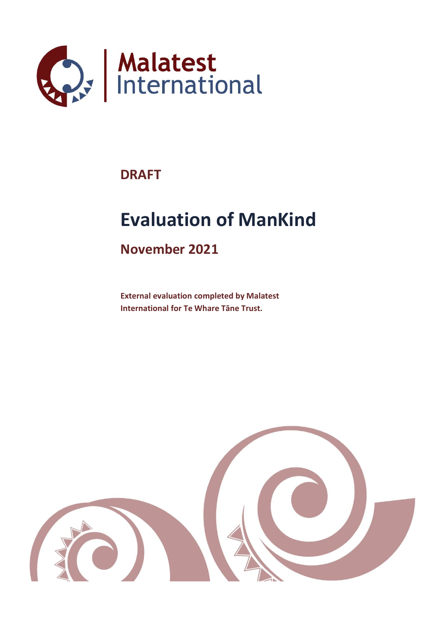

# **DRAFT**

# **Evaluation of ManKind**

# **November 2021**

**External evaluation completed by Malatest International for Te Whare Tāne Trust.**

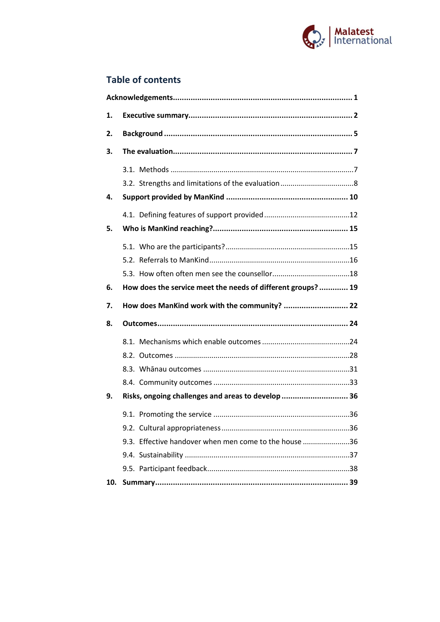

### **Table of contents**

| 1. |                                                             |  |
|----|-------------------------------------------------------------|--|
| 2. |                                                             |  |
| 3. |                                                             |  |
|    |                                                             |  |
|    |                                                             |  |
| 4. |                                                             |  |
|    |                                                             |  |
| 5. |                                                             |  |
|    |                                                             |  |
|    |                                                             |  |
|    |                                                             |  |
|    | How does the service meet the needs of different groups? 19 |  |
| 6. |                                                             |  |
| 7. | How does ManKind work with the community?  22               |  |
| 8. |                                                             |  |
|    |                                                             |  |
|    |                                                             |  |
|    |                                                             |  |
|    |                                                             |  |
| 9. | Risks, ongoing challenges and areas to develop  36          |  |
|    |                                                             |  |
|    |                                                             |  |
|    | 9.3. Effective handover when men come to the house 36       |  |
|    |                                                             |  |
|    |                                                             |  |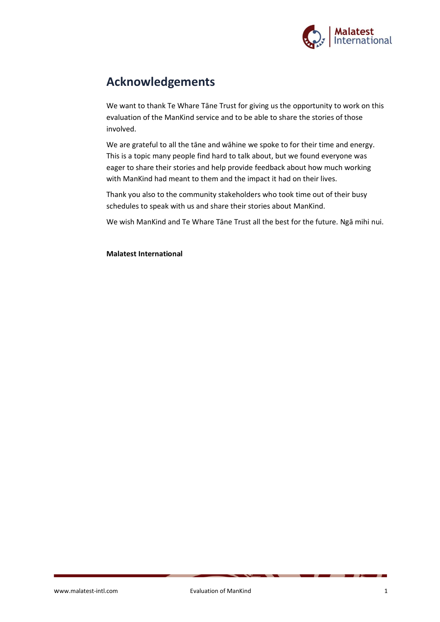

# **Acknowledgements**

We want to thank Te Whare Tāne Trust for giving us the opportunity to work on this evaluation of the ManKind service and to be able to share the stories of those involved.

We are grateful to all the tāne and wāhine we spoke to for their time and energy. This is a topic many people find hard to talk about, but we found everyone was eager to share their stories and help provide feedback about how much working with ManKind had meant to them and the impact it had on their lives.

Thank you also to the community stakeholders who took time out of their busy schedules to speak with us and share their stories about ManKind.

We wish ManKind and Te Whare Tāne Trust all the best for the future. Ngā mihi nui.

**Malatest International**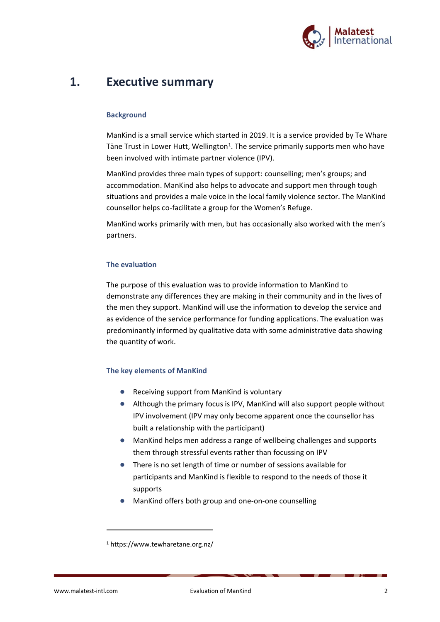

### **1. Executive summary**

#### **Background**

ManKind is a small service which started in 2019. It is a service provided by Te Whare Tāne Trust in Lower Hutt, Wellington<sup>1</sup>. The service primarily supports men who have been involved with intimate partner violence (IPV).

ManKind provides three main types of support: counselling; men's groups; and accommodation. ManKind also helps to advocate and support men through tough situations and provides a male voice in the local family violence sector. The ManKind counsellor helps co-facilitate a group for the Women's Refuge.

ManKind works primarily with men, but has occasionally also worked with the men's partners.

#### **The evaluation**

The purpose of this evaluation was to provide information to ManKind to demonstrate any differences they are making in their community and in the lives of the men they support. ManKind will use the information to develop the service and as evidence of the service performance for funding applications. The evaluation was predominantly informed by qualitative data with some administrative data showing the quantity of work.

#### **The key elements of ManKind**

- Receiving support from ManKind is voluntary
- Although the primary focus is IPV, ManKind will also support people without IPV involvement (IPV may only become apparent once the counsellor has built a relationship with the participant)
- ManKind helps men address a range of wellbeing challenges and supports them through stressful events rather than focussing on IPV
- There is no set length of time or number of sessions available for participants and ManKind is flexible to respond to the needs of those it supports
- ManKind offers both group and one-on-one counselling

<sup>1</sup> https://www.tewharetane.org.nz/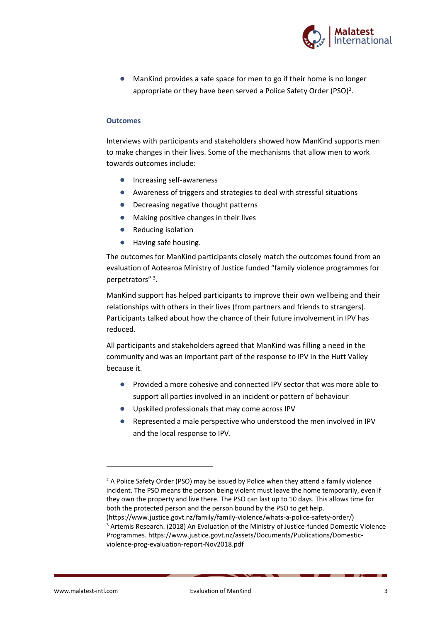

● ManKind provides a safe space for men to go if their home is no longer appropriate or they have been served a Police Safety Order (PSO)<sup>2</sup>.

#### **Outcomes**

Interviews with participants and stakeholders showed how ManKind supports men to make changes in their lives. Some of the mechanisms that allow men to work towards outcomes include:

- Increasing self-awareness
- Awareness of triggers and strategies to deal with stressful situations
- Decreasing negative thought patterns
- Making positive changes in their lives
- **Reducing isolation**
- Having safe housing.

The outcomes for ManKind participants closely match the outcomes found from an evaluation of Aotearoa Ministry of Justice funded "family violence programmes for perpetrators"<sup>3</sup>.

ManKind support has helped participants to improve their own wellbeing and their relationships with others in their lives (from partners and friends to strangers). Participants talked about how the chance of their future involvement in IPV has reduced.

All participants and stakeholders agreed that ManKind was filling a need in the community and was an important part of the response to IPV in the Hutt Valley because it.

- Provided a more cohesive and connected IPV sector that was more able to support all parties involved in an incident or pattern of behaviour
- Upskilled professionals that may come across IPV
- Represented a male perspective who understood the men involved in IPV and the local response to IPV.

<sup>&</sup>lt;sup>2</sup> A Police Safety Order (PSO) may be issued by Police when they attend a family violence incident. The PSO means the person being violent must leave the home temporarily, even if they own the property and live there. The PSO can last up to 10 days. This allows time for both the protected person and the person bound by the PSO to get help. (https://www.justice.govt.nz/family/family-violence/whats-a-police-safety-order/) <sup>3</sup> Artemis Research. (2018) An Evaluation of the Ministry of Justice-funded Domestic Violence Programmes. https://www.justice.govt.nz/assets/Documents/Publications/Domesticviolence-prog-evaluation-report-Nov2018.pdf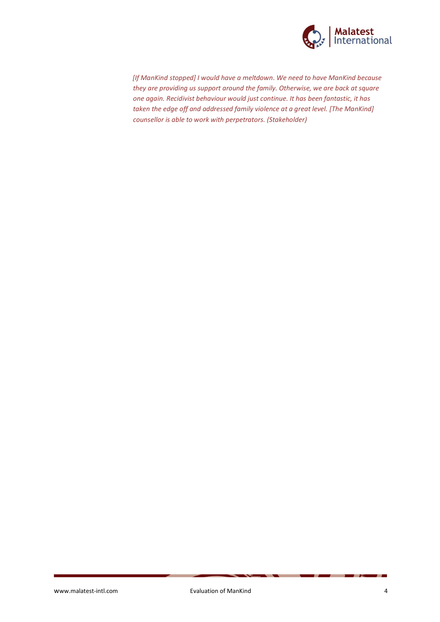

*[If ManKind stopped] I would have a meltdown. We need to have ManKind because they are providing us support around the family. Otherwise, we are back at square one again. Recidivist behaviour would just continue. It has been fantastic, it has taken the edge off and addressed family violence at a great level. [The ManKind] counsellor is able to work with perpetrators. (Stakeholder)*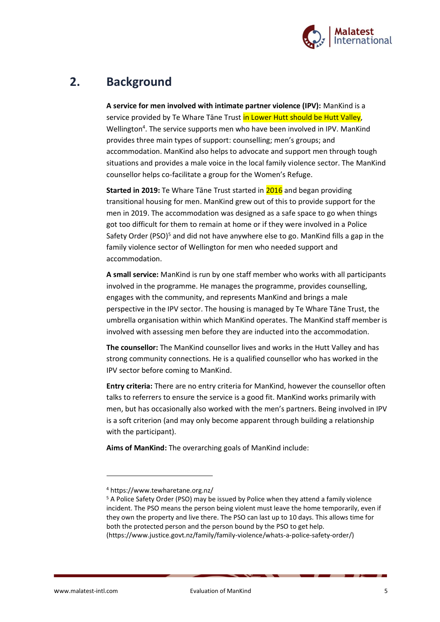

# **2. Background**

**A service for men involved with intimate partner violence (IPV):** ManKind is a service provided by Te Whare Tāne Trust in Lower Hutt should be Hutt Valley, Wellington<sup>4</sup>. The service supports men who have been involved in IPV. ManKind provides three main types of support: counselling; men's groups; and accommodation. ManKind also helps to advocate and support men through tough situations and provides a male voice in the local family violence sector. The ManKind counsellor helps co-facilitate a group for the Women's Refuge.

**Started in 2019:** Te Whare Tāne Trust started in 2016 and began providing transitional housing for men. ManKind grew out of this to provide support for the men in 2019. The accommodation was designed as a safe space to go when things got too difficult for them to remain at home or if they were involved in a Police Safety Order (PSO)<sup>5</sup> and did not have anywhere else to go. ManKind fills a gap in the family violence sector of Wellington for men who needed support and accommodation.

**A small service:** ManKind is run by one staff member who works with all participants involved in the programme. He manages the programme, provides counselling, engages with the community, and represents ManKind and brings a male perspective in the IPV sector. The housing is managed by Te Whare Tāne Trust, the umbrella organisation within which ManKind operates. The ManKind staff member is involved with assessing men before they are inducted into the accommodation.

**The counsellor:** The ManKind counsellor lives and works in the Hutt Valley and has strong community connections. He is a qualified counsellor who has worked in the IPV sector before coming to ManKind.

**Entry criteria:** There are no entry criteria for ManKind, however the counsellor often talks to referrers to ensure the service is a good fit. ManKind works primarily with men, but has occasionally also worked with the men's partners. Being involved in IPV is a soft criterion (and may only become apparent through building a relationship with the participant).

**Aims of ManKind:** The overarching goals of ManKind include:

<sup>4</sup> https://www.tewharetane.org.nz/

<sup>&</sup>lt;sup>5</sup> A Police Safety Order (PSO) may be issued by Police when they attend a family violence incident. The PSO means the person being violent must leave the home temporarily, even if they own the property and live there. The PSO can last up to 10 days. This allows time for both the protected person and the person bound by the PSO to get help. (https://www.justice.govt.nz/family/family-violence/whats-a-police-safety-order/)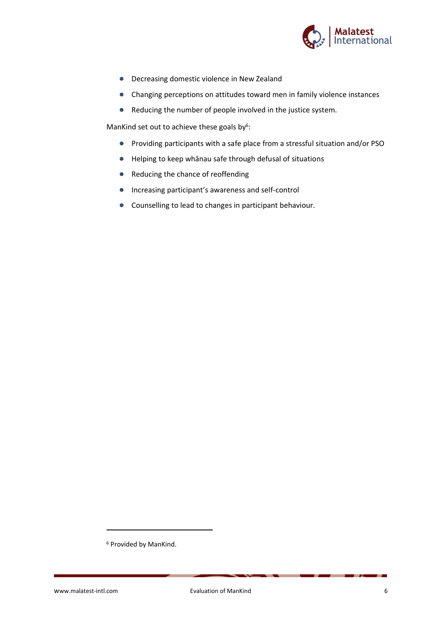

- Decreasing domestic violence in New Zealand
- Changing perceptions on attitudes toward men in family violence instances
- Reducing the number of people involved in the justice system.

ManKind set out to achieve these goals by<sup>6</sup>:

- Providing participants with a safe place from a stressful situation and/or PSO
- Helping to keep whānau safe through defusal of situations
- Reducing the chance of reoffending
- Increasing participant's awareness and self-control
- Counselling to lead to changes in participant behaviour.

<sup>6</sup> Provided by ManKind.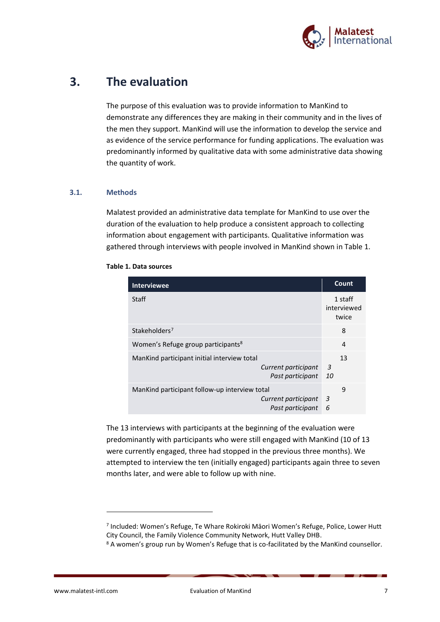

# **3. The evaluation**

The purpose of this evaluation was to provide information to ManKind to demonstrate any differences they are making in their community and in the lives of the men they support. ManKind will use the information to develop the service and as evidence of the service performance for funding applications. The evaluation was predominantly informed by qualitative data with some administrative data showing the quantity of work.

#### **3.1. Methods**

Malatest provided an administrative data template for ManKind to use over the duration of the evaluation to help produce a consistent approach to collecting information about engagement with participants. Qualitative information was gathered through interviews with people involved in ManKind shown in [Table 1.](#page-8-0)

| Interviewee                                                                              | Count                           |
|------------------------------------------------------------------------------------------|---------------------------------|
| Staff                                                                                    | 1 staff<br>interviewed<br>twice |
| Stakeholders <sup>7</sup>                                                                | 8                               |
| Women's Refuge group participants <sup>8</sup>                                           | 4                               |
| Mankind participant initial interview total<br>Current participant<br>Past participant   | 13<br>3<br>10                   |
| Mankind participant follow-up interview total<br>Current participant<br>Past participant | 9<br>3<br>6                     |

#### <span id="page-8-0"></span>**Table 1. Data sources**

The 13 interviews with participants at the beginning of the evaluation were predominantly with participants who were still engaged with ManKind (10 of 13 were currently engaged, three had stopped in the previous three months). We attempted to interview the ten (initially engaged) participants again three to seven months later, and were able to follow up with nine.

<sup>7</sup> Included: Women's Refuge, Te Whare Rokiroki Māori Women's Refuge, Police, Lower Hutt City Council, the Family Violence Community Network, Hutt Valley DHB.

<sup>8</sup> A women's group run by Women's Refuge that is co-facilitated by the ManKind counsellor.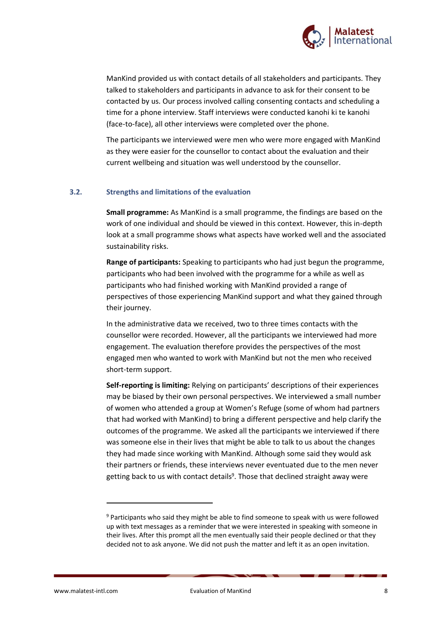

ManKind provided us with contact details of all stakeholders and participants. They talked to stakeholders and participants in advance to ask for their consent to be contacted by us. Our process involved calling consenting contacts and scheduling a time for a phone interview. Staff interviews were conducted kanohi ki te kanohi (face-to-face), all other interviews were completed over the phone.

The participants we interviewed were men who were more engaged with ManKind as they were easier for the counsellor to contact about the evaluation and their current wellbeing and situation was well understood by the counsellor.

#### **3.2. Strengths and limitations of the evaluation**

**Small programme:** As ManKind is a small programme, the findings are based on the work of one individual and should be viewed in this context. However, this in-depth look at a small programme shows what aspects have worked well and the associated sustainability risks.

**Range of participants:** Speaking to participants who had just begun the programme, participants who had been involved with the programme for a while as well as participants who had finished working with ManKind provided a range of perspectives of those experiencing ManKind support and what they gained through their journey.

In the administrative data we received, two to three times contacts with the counsellor were recorded. However, all the participants we interviewed had more engagement. The evaluation therefore provides the perspectives of the most engaged men who wanted to work with ManKind but not the men who received short-term support.

**Self-reporting is limiting:** Relying on participants' descriptions of their experiences may be biased by their own personal perspectives. We interviewed a small number of women who attended a group at Women's Refuge (some of whom had partners that had worked with ManKind) to bring a different perspective and help clarify the outcomes of the programme. We asked all the participants we interviewed if there was someone else in their lives that might be able to talk to us about the changes they had made since working with ManKind. Although some said they would ask their partners or friends, these interviews never eventuated due to the men never getting back to us with contact details<sup>9</sup>. Those that declined straight away were

<sup>9</sup> Participants who said they might be able to find someone to speak with us were followed up with text messages as a reminder that we were interested in speaking with someone in their lives. After this prompt all the men eventually said their people declined or that they decided not to ask anyone. We did not push the matter and left it as an open invitation.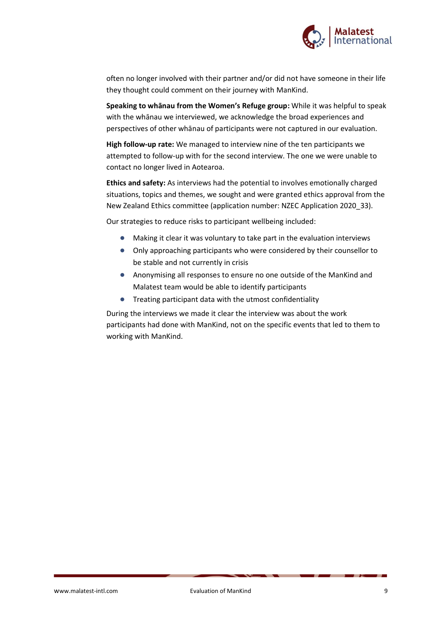

often no longer involved with their partner and/or did not have someone in their life they thought could comment on their journey with ManKind.

**Speaking to whānau from the Women's Refuge group:** While it was helpful to speak with the whānau we interviewed, we acknowledge the broad experiences and perspectives of other whānau of participants were not captured in our evaluation.

**High follow-up rate:** We managed to interview nine of the ten participants we attempted to follow-up with for the second interview. The one we were unable to contact no longer lived in Aotearoa.

**Ethics and safety:** As interviews had the potential to involves emotionally charged situations, topics and themes, we sought and were granted ethics approval from the New Zealand Ethics committee (application number: NZEC Application 2020\_33).

Our strategies to reduce risks to participant wellbeing included:

- Making it clear it was voluntary to take part in the evaluation interviews
- Only approaching participants who were considered by their counsellor to be stable and not currently in crisis
- Anonymising all responses to ensure no one outside of the ManKind and Malatest team would be able to identify participants
- Treating participant data with the utmost confidentiality

During the interviews we made it clear the interview was about the work participants had done with ManKind, not on the specific events that led to them to working with ManKind.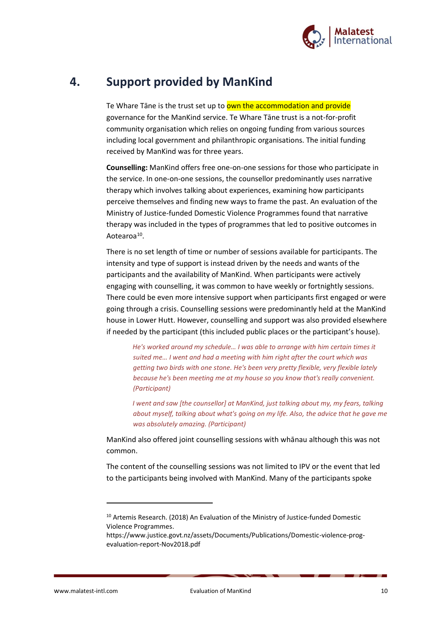

### **4. Support provided by ManKind**

Te Whare Tāne is the trust set up to own the accommodation and provide governance for the ManKind service. Te Whare Tāne trust is a not-for-profit community organisation which relies on ongoing funding from various sources including local government and philanthropic organisations. The initial funding received by ManKind was for three years.

**Counselling:** ManKind offers free one-on-one sessions for those who participate in the service. In one-on-one sessions, the counsellor predominantly uses narrative therapy which involves talking about experiences, examining how participants perceive themselves and finding new ways to frame the past. An evaluation of the Ministry of Justice-funded Domestic Violence Programmes found that narrative therapy was included in the types of programmes that led to positive outcomes in Aotearoa<sup>10</sup>.

There is no set length of time or number of sessions available for participants. The intensity and type of support is instead driven by the needs and wants of the participants and the availability of ManKind. When participants were actively engaging with counselling, it was common to have weekly or fortnightly sessions. There could be even more intensive support when participants first engaged or were going through a crisis. Counselling sessions were predominantly held at the ManKind house in Lower Hutt. However, counselling and support was also provided elsewhere if needed by the participant (this included public places or the participant's house).

*He's worked around my schedule… I was able to arrange with him certain times it suited me… I went and had a meeting with him right after the court which was getting two birds with one stone. He's been very pretty flexible, very flexible lately because he's been meeting me at my house so you know that's really convenient. (Participant)*

*I went and saw [the counsellor] at ManKind, just talking about my, my fears, talking about myself, talking about what's going on my life. Also, the advice that he gave me was absolutely amazing. (Participant)*

ManKind also offered joint counselling sessions with whānau although this was not common.

The content of the counselling sessions was not limited to IPV or the event that led to the participants being involved with ManKind. Many of the participants spoke

<sup>10</sup> Artemis Research. (2018) An Evaluation of the Ministry of Justice-funded Domestic Violence Programmes.

https://www.justice.govt.nz/assets/Documents/Publications/Domestic-violence-progevaluation-report-Nov2018.pdf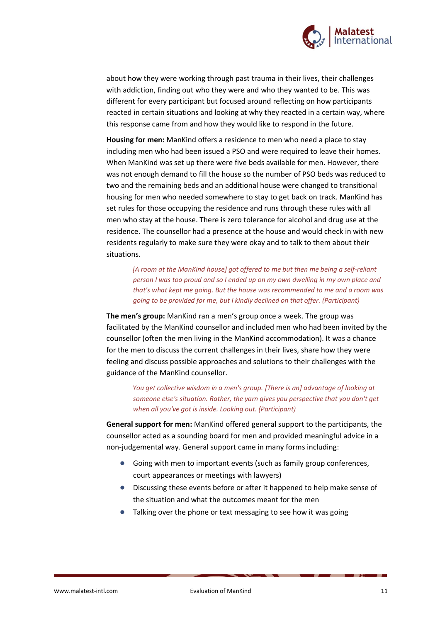

about how they were working through past trauma in their lives, their challenges with addiction, finding out who they were and who they wanted to be. This was different for every participant but focused around reflecting on how participants reacted in certain situations and looking at why they reacted in a certain way, where this response came from and how they would like to respond in the future.

**Housing for men:** ManKind offers a residence to men who need a place to stay including men who had been issued a PSO and were required to leave their homes. When ManKind was set up there were five beds available for men. However, there was not enough demand to fill the house so the number of PSO beds was reduced to two and the remaining beds and an additional house were changed to transitional housing for men who needed somewhere to stay to get back on track. ManKind has set rules for those occupying the residence and runs through these rules with all men who stay at the house. There is zero tolerance for alcohol and drug use at the residence. The counsellor had a presence at the house and would check in with new residents regularly to make sure they were okay and to talk to them about their situations.

*[A room at the ManKind house] got offered to me but then me being a self-reliant person I was too proud and so I ended up on my own dwelling in my own place and that's what kept me going. But the house was recommended to me and a room was going to be provided for me, but I kindly declined on that offer. (Participant)*

**The men's group:** ManKind ran a men's group once a week. The group was facilitated by the ManKind counsellor and included men who had been invited by the counsellor (often the men living in the ManKind accommodation). It was a chance for the men to discuss the current challenges in their lives, share how they were feeling and discuss possible approaches and solutions to their challenges with the guidance of the ManKind counsellor.

*You get collective wisdom in a men's group. [There is an] advantage of looking at someone else's situation. Rather, the yarn gives you perspective that you don't get when all you've got is inside. Looking out. (Participant)*

**General support for men:** ManKind offered general support to the participants, the counsellor acted as a sounding board for men and provided meaningful advice in a non-judgemental way. General support came in many forms including:

- Going with men to important events (such as family group conferences, court appearances or meetings with lawyers)
- Discussing these events before or after it happened to help make sense of the situation and what the outcomes meant for the men
- Talking over the phone or text messaging to see how it was going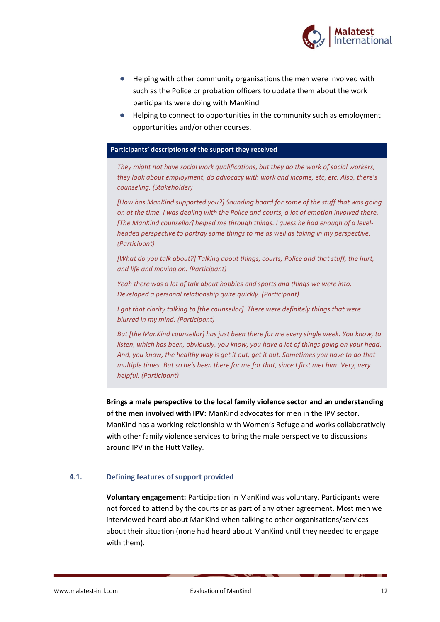

- Helping with other community organisations the men were involved with such as the Police or probation officers to update them about the work participants were doing with ManKind
- Helping to connect to opportunities in the community such as employment opportunities and/or other courses.

#### **Participants' descriptions of the support they received**

*They might not have social work qualifications, but they do the work of social workers, they look about employment, do advocacy with work and income, etc, etc. Also, there's counseling. (Stakeholder)* 

*[How has ManKind supported you?] Sounding board for some of the stuff that was going on at the time. I was dealing with the Police and courts, a lot of emotion involved there. [The ManKind counsellor] helped me through things. I guess he had enough of a levelheaded perspective to portray some things to me as well as taking in my perspective. (Participant)*

*[What do you talk about?] Talking about things, courts, Police and that stuff, the hurt, and life and moving on. (Participant)*

*Yeah there was a lot of talk about hobbies and sports and things we were into. Developed a personal relationship quite quickly. (Participant)*

*I got that clarity talking to [the counsellor]. There were definitely things that were blurred in my mind. (Participant)*

*But [the ManKind counsellor] has just been there for me every single week. You know, to listen, which has been, obviously, you know, you have a lot of things going on your head. And, you know, the healthy way is get it out, get it out. Sometimes you have to do that multiple times. But so he's been there for me for that, since I first met him. Very, very helpful. (Participant)*

**Brings a male perspective to the local family violence sector and an understanding of the men involved with IPV:** ManKind advocates for men in the IPV sector. ManKind has a working relationship with Women's Refuge and works collaboratively with other family violence services to bring the male perspective to discussions around IPV in the Hutt Valley.

#### **4.1. Defining features of support provided**

**Voluntary engagement:** Participation in ManKind was voluntary. Participants were not forced to attend by the courts or as part of any other agreement. Most men we interviewed heard about ManKind when talking to other organisations/services about their situation (none had heard about ManKind until they needed to engage with them).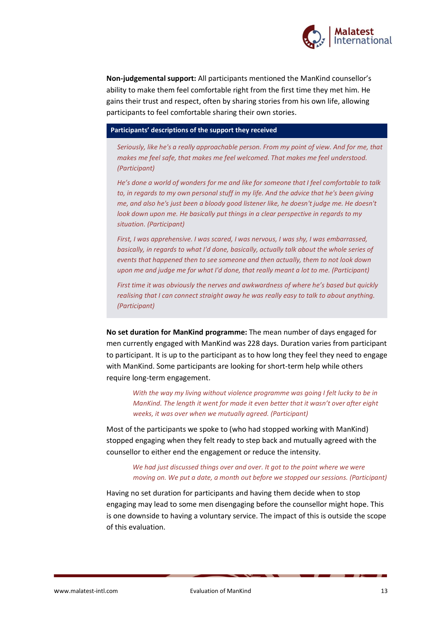

**Non-judgemental support:** All participants mentioned the ManKind counsellor's ability to make them feel comfortable right from the first time they met him. He gains their trust and respect, often by sharing stories from his own life, allowing participants to feel comfortable sharing their own stories.

#### **Participants' descriptions of the support they received**

*Seriously, like he's a really approachable person. From my point of view. And for me, that makes me feel safe, that makes me feel welcomed. That makes me feel understood. (Participant)*

*He's done a world of wonders for me and like for someone that I feel comfortable to talk to, in regards to my own personal stuff in my life. And the advice that he's been giving me, and also he's just been a bloody good listener like, he doesn't judge me. He doesn't look down upon me. He basically put things in a clear perspective in regards to my situation. (Participant)*

*First, I was apprehensive. I was scared, I was nervous, I was shy, I was embarrassed, basically, in regards to what I'd done, basically, actually talk about the whole series of events that happened then to see someone and then actually, them to not look down upon me and judge me for what I'd done, that really meant a lot to me. (Participant)*

*First time it was obviously the nerves and awkwardness of where he's based but quickly realising that I can connect straight away he was really easy to talk to about anything. (Participant)*

**No set duration for ManKind programme:** The mean number of days engaged for men currently engaged with ManKind was 228 days. Duration varies from participant to participant. It is up to the participant as to how long they feel they need to engage with ManKind. Some participants are looking for short-term help while others require long-term engagement.

*With the way my living without violence programme was going I felt lucky to be in ManKind. The length it went for made it even better that it wasn't over after eight weeks, it was over when we mutually agreed. (Participant)*

Most of the participants we spoke to (who had stopped working with ManKind) stopped engaging when they felt ready to step back and mutually agreed with the counsellor to either end the engagement or reduce the intensity.

#### *We had just discussed things over and over. It got to the point where we were moving on. We put a date, a month out before we stopped our sessions. (Participant)*

Having no set duration for participants and having them decide when to stop engaging may lead to some men disengaging before the counsellor might hope. This is one downside to having a voluntary service. The impact of this is outside the scope of this evaluation.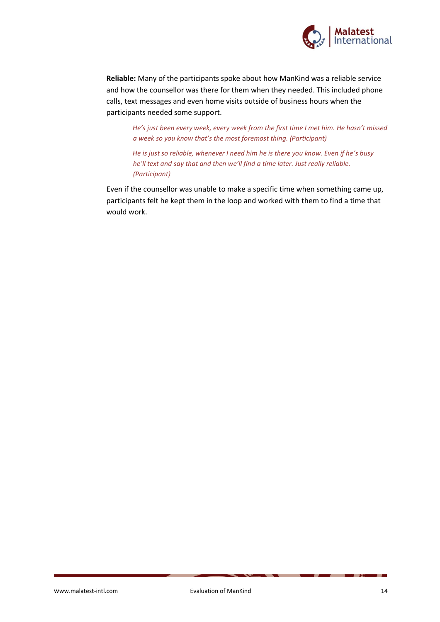

**Reliable:** Many of the participants spoke about how ManKind was a reliable service and how the counsellor was there for them when they needed. This included phone calls, text messages and even home visits outside of business hours when the participants needed some support.

*He's just been every week, every week from the first time I met him. He hasn't missed a week so you know that's the most foremost thing. (Participant)*

*He is just so reliable, whenever I need him he is there you know. Even if he's busy he'll text and say that and then we'll find a time later. Just really reliable. (Participant)*

Even if the counsellor was unable to make a specific time when something came up, participants felt he kept them in the loop and worked with them to find a time that would work.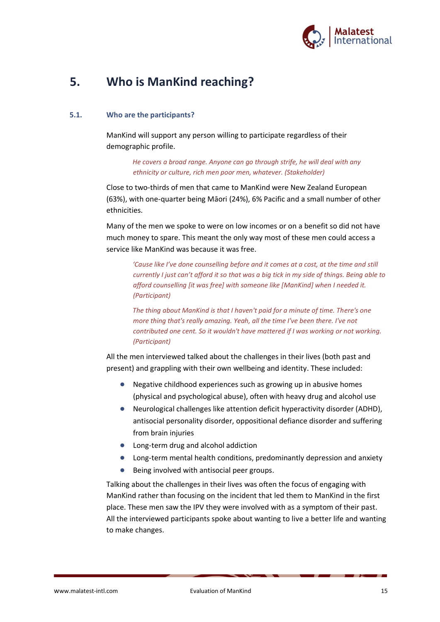

# **5. Who is ManKind reaching?**

#### **5.1. Who are the participants?**

ManKind will support any person willing to participate regardless of their demographic profile.

> *He covers a broad range. Anyone can go through strife, he will deal with any ethnicity or culture, rich men poor men, whatever. (Stakeholder)*

Close to two-thirds of men that came to ManKind were New Zealand European (63%), with one-quarter being Māori (24%), 6% Pacific and a small number of other ethnicities.

Many of the men we spoke to were on low incomes or on a benefit so did not have much money to spare. This meant the only way most of these men could access a service like ManKind was because it was free.

*'Cause like I've done counselling before and it comes at a cost, at the time and still currently I just can't afford it so that was a big tick in my side of things. Being able to afford counselling [it was free] with someone like [ManKind] when I needed it. (Participant)*

*The thing about ManKind is that I haven't paid for a minute of time. There's one more thing that's really amazing. Yeah, all the time I've been there. I've not contributed one cent. So it wouldn't have mattered if I was working or not working. (Participant)*

All the men interviewed talked about the challenges in their lives (both past and present) and grappling with their own wellbeing and identity. These included:

- Negative childhood experiences such as growing up in abusive homes (physical and psychological abuse), often with heavy drug and alcohol use
- Neurological challenges like attention deficit hyperactivity disorder (ADHD), antisocial personality disorder, oppositional defiance disorder and suffering from brain injuries
- Long-term drug and alcohol addiction
- Long-term mental health conditions, predominantly depression and anxiety
- Being involved with antisocial peer groups.

Talking about the challenges in their lives was often the focus of engaging with ManKind rather than focusing on the incident that led them to ManKind in the first place. These men saw the IPV they were involved with as a symptom of their past. All the interviewed participants spoke about wanting to live a better life and wanting to make changes.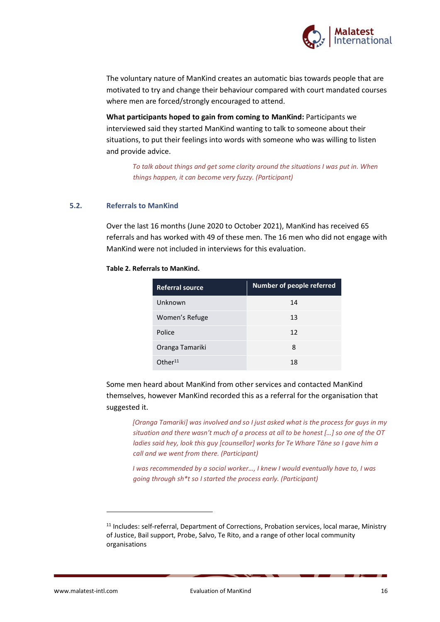

The voluntary nature of ManKind creates an automatic bias towards people that are motivated to try and change their behaviour compared with court mandated courses where men are forced/strongly encouraged to attend.

**What participants hoped to gain from coming to ManKind:** Participants we interviewed said they started ManKind wanting to talk to someone about their situations, to put their feelings into words with someone who was willing to listen and provide advice.

> *To talk about things and get some clarity around the situations I was put in. When things happen, it can become very fuzzy. (Participant)*

#### **5.2. Referrals to ManKind**

Over the last 16 months (June 2020 to October 2021), ManKind has received 65 referrals and has worked with 49 of these men. The 16 men who did not engage with ManKind were not included in interviews for this evaluation.

| <b>Referral source</b> | <b>Number of people referred</b> |
|------------------------|----------------------------------|
| Unknown                | 14                               |
| Women's Refuge         | 13                               |
| Police                 | 12                               |
| Oranga Tamariki        | 8                                |
| Other <sup>11</sup>    | 18                               |

#### **Table 2. Referrals to ManKind.**

Some men heard about ManKind from other services and contacted ManKind themselves, however ManKind recorded this as a referral for the organisation that suggested it.

*[Oranga Tamariki] was involved and so I just asked what is the process for guys in my situation and there wasn't much of a process at all to be honest […] so one of the OT ladies said hey, look this guy [counsellor] works for Te Whare Tāne so I gave him a call and we went from there. (Participant)*

*I was recommended by a social worker…, I knew I would eventually have to, I was going through sh\*t so I started the process early. (Participant)*

<sup>11</sup> Includes: self-referral, Department of Corrections, Probation services, local marae, Ministry of Justice, Bail support, Probe, Salvo, Te Rito, and a range of other local community organisations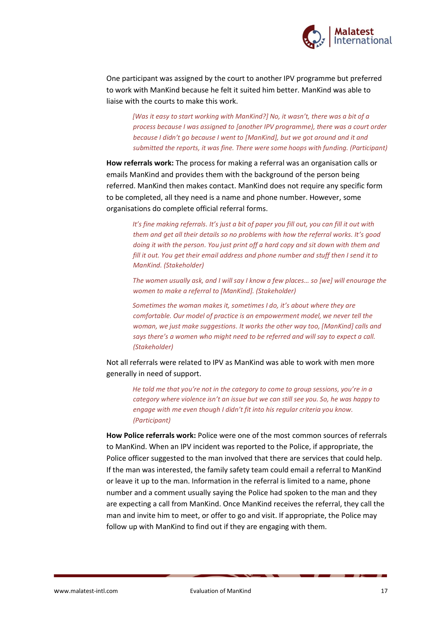

One participant was assigned by the court to another IPV programme but preferred to work with ManKind because he felt it suited him better. ManKind was able to liaise with the courts to make this work.

*[Was it easy to start working with ManKind?] No, it wasn't, there was a bit of a process because I was assigned to [another IPV programme), there was a court order because I didn't go because I went to [ManKind], but we got around and it and submitted the reports, it was fine. There were some hoops with funding. (Participant)*

**How referrals work:** The process for making a referral was an organisation calls or emails ManKind and provides them with the background of the person being referred. ManKind then makes contact. ManKind does not require any specific form to be completed, all they need is a name and phone number. However, some organisations do complete official referral forms.

*It's fine making referrals. It's just a bit of paper you fill out, you can fill it out with them and get all their details so no problems with how the referral works. It's good doing it with the person. You just print off a hard copy and sit down with them and fill it out. You get their email address and phone number and stuff then I send it to ManKind. (Stakeholder)*

*The women usually ask, and I will say I know a few places… so [we] will enourage the women to make a referral to [ManKind]. (Stakeholder)*

*Sometimes the woman makes it, sometimes I do, it's about where they are comfortable. Our model of practice is an empowerment model, we never tell the woman, we just make suggestions. It works the other way too, [ManKind] calls and says there's a women who might need to be referred and will say to expect a call. (Stakeholder)*

Not all referrals were related to IPV as ManKind was able to work with men more generally in need of support.

*He told me that you're not in the category to come to group sessions, you're in a category where violence isn't an issue but we can still see you. So, he was happy to engage with me even though I didn't fit into his regular criteria you know. (Participant)*

**How Police referrals work:** Police were one of the most common sources of referrals to ManKind. When an IPV incident was reported to the Police, if appropriate, the Police officer suggested to the man involved that there are services that could help. If the man was interested, the family safety team could email a referral to ManKind or leave it up to the man. Information in the referral is limited to a name, phone number and a comment usually saying the Police had spoken to the man and they are expecting a call from ManKind. Once ManKind receives the referral, they call the man and invite him to meet, or offer to go and visit. If appropriate, the Police may follow up with ManKind to find out if they are engaging with them.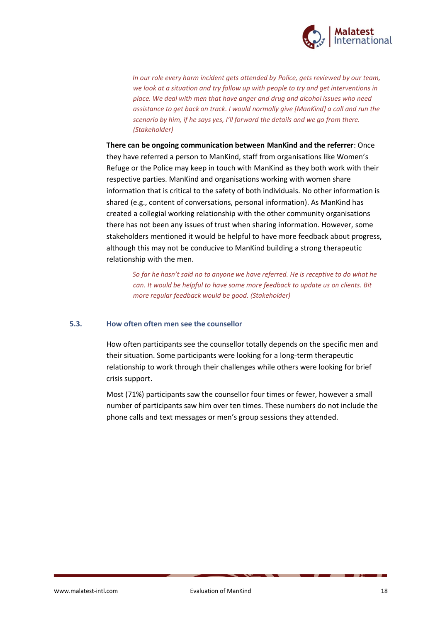

*In our role every harm incident gets attended by Police, gets reviewed by our team, we look at a situation and try follow up with people to try and get interventions in place. We deal with men that have anger and drug and alcohol issues who need assistance to get back on track. I would normally give [ManKind] a call and run the scenario by him, if he says yes, I'll forward the details and we go from there. (Stakeholder)*

**There can be ongoing communication between ManKind and the referrer**: Once they have referred a person to ManKind, staff from organisations like Women's Refuge or the Police may keep in touch with ManKind as they both work with their respective parties. ManKind and organisations working with women share information that is critical to the safety of both individuals. No other information is shared (e.g., content of conversations, personal information). As ManKind has created a collegial working relationship with the other community organisations there has not been any issues of trust when sharing information. However, some stakeholders mentioned it would be helpful to have more feedback about progress, although this may not be conducive to ManKind building a strong therapeutic relationship with the men.

*So far he hasn't said no to anyone we have referred. He is receptive to do what he can. It would be helpful to have some more feedback to update us on clients. Bit more regular feedback would be good. (Stakeholder)*

#### **5.3. How often often men see the counsellor**

How often participants see the counsellor totally depends on the specific men and their situation. Some participants were looking for a long-term therapeutic relationship to work through their challenges while others were looking for brief crisis support.

Most (71%) participants saw the counsellor four times or fewer, however a small number of participants saw him over ten times. These numbers do not include the phone calls and text messages or men's group sessions they attended.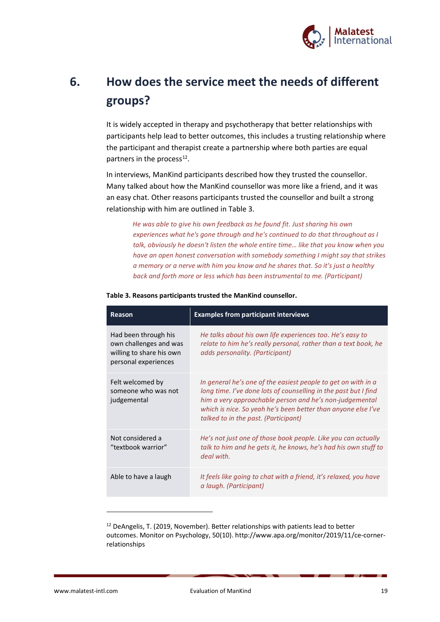

# **6. How does the service meet the needs of different groups?**

It is widely accepted in therapy and psychotherapy that better relationships with participants help lead to better outcomes, this includes a trusting relationship where the participant and therapist create a partnership where both parties are equal partners in the process<sup>12</sup>.

In interviews, ManKind participants described how they trusted the counsellor. Many talked about how the ManKind counsellor was more like a friend, and it was an easy chat. Other reasons participants trusted the counsellor and built a strong relationship with him are outlined in [Table 3.](#page-20-0)

*He was able to give his own feedback as he found fit. Just sharing his own experiences what he's gone through and he's continued to do that throughout as I talk, obviously he doesn't listen the whole entire time… like that you know when you have an open honest conversation with somebody something I might say that strikes a memory or a nerve with him you know and he shares that. So it's just a healthy back and forth more or less which has been instrumental to me. (Participant)* 

| <b>Reason</b>                                                                                      | <b>Examples from participant interviews</b>                                                                                                                                                                                                                                                          |
|----------------------------------------------------------------------------------------------------|------------------------------------------------------------------------------------------------------------------------------------------------------------------------------------------------------------------------------------------------------------------------------------------------------|
| Had been through his<br>own challenges and was<br>willing to share his own<br>personal experiences | He talks about his own life experiences too. He's easy to<br>relate to him he's really personal, rather than a text book, he<br>adds personality. (Participant)                                                                                                                                      |
| Felt welcomed by<br>someone who was not<br>judgemental                                             | In general he's one of the easiest people to get on with in a<br>long time. I've done lots of counselling in the past but I find<br>him a very approachable person and he's non-judgemental<br>which is nice. So yeah he's been better than anyone else I've<br>talked to in the past. (Participant) |
| Not considered a<br>"textbook warrior"                                                             | He's not just one of those book people. Like you can actually<br>talk to him and he gets it, he knows, he's had his own stuff to<br>deal with.                                                                                                                                                       |
| Able to have a laugh                                                                               | It feels like going to chat with a friend, it's relaxed, you have<br>a laugh. (Participant)                                                                                                                                                                                                          |

#### <span id="page-20-0"></span>**Table 3. Reasons participants trusted the ManKind counsellor.**

<sup>12</sup> DeAngelis, T. (2019, November). Better relationships with patients lead to better outcomes. Monitor on Psychology, 50(10). http://www.apa.org/monitor/2019/11/ce-cornerrelationships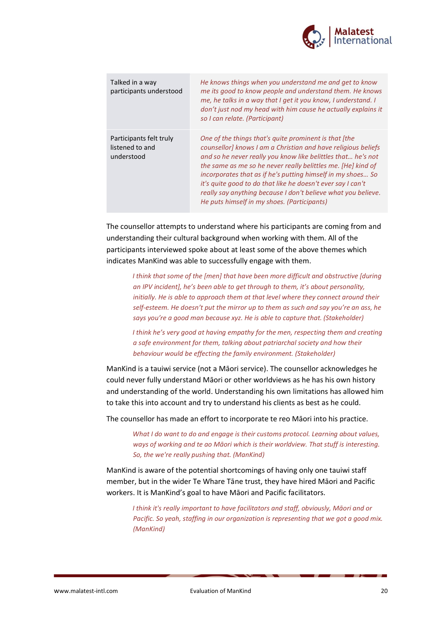

| Talked in a way<br>participants understood               | He knows things when you understand me and get to know<br>me its good to know people and understand them. He knows<br>me, he talks in a way that I get it you know, I understand. I<br>don't just nod my head with him cause he actually explains it<br>so I can relate. (Participant)                                                                                                                                                                                                               |
|----------------------------------------------------------|------------------------------------------------------------------------------------------------------------------------------------------------------------------------------------------------------------------------------------------------------------------------------------------------------------------------------------------------------------------------------------------------------------------------------------------------------------------------------------------------------|
| Participants felt truly<br>listened to and<br>understood | One of the things that's quite prominent is that [the<br>counsellor] knows I am a Christian and have religious beliefs<br>and so he never really you know like belittles that he's not<br>the same as me so he never really belittles me. [He] kind of<br>incorporates that as if he's putting himself in my shoes So<br>it's quite good to do that like he doesn't ever say I can't<br>really say anything because I don't believe what you believe.<br>He puts himself in my shoes. (Participants) |

The counsellor attempts to understand where his participants are coming from and understanding their cultural background when working with them. All of the participants interviewed spoke about at least some of the above themes which indicates ManKind was able to successfully engage with them.

*I think that some of the [men] that have been more difficult and obstructive [during an IPV incident], he's been able to get through to them, it's about personality, initially. He is able to approach them at that level where they connect around their self-esteem. He doesn't put the mirror up to them as such and say you're an ass, he says you're a good man because xyz. He is able to capture that. (Stakeholder)*

*I think he's very good at having empathy for the men, respecting them and creating a safe environment for them, talking about patriarchal society and how their behaviour would be effecting the family environment. (Stakeholder)*

ManKind is a tauiwi service (not a Māori service). The counsellor acknowledges he could never fully understand Māori or other worldviews as he has his own history and understanding of the world. Understanding his own limitations has allowed him to take this into account and try to understand his clients as best as he could.

The counsellor has made an effort to incorporate te reo Māori into his practice.

*What I do want to do and engage is their customs protocol. Learning about values, ways of working and te ao Māori which is their worldview. That stuff is interesting. So, the we're really pushing that. (ManKind)*

ManKind is aware of the potential shortcomings of having only one tauiwi staff member, but in the wider Te Whare Tāne trust, they have hired Māori and Pacific workers. It is ManKind's goal to have Māori and Pacific facilitators.

*I think it's really important to have facilitators and staff, obviously, Māori and or Pacific. So yeah, staffing in our organization is representing that we got a good mix. (ManKind)*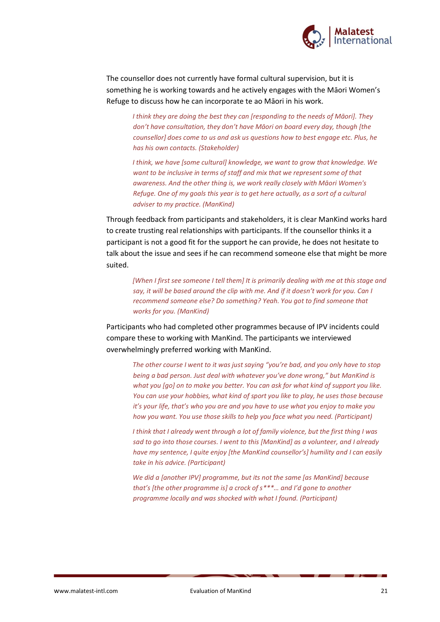

The counsellor does not currently have formal cultural supervision, but it is something he is working towards and he actively engages with the Māori Women's Refuge to discuss how he can incorporate te ao Māori in his work.

*I think they are doing the best they can [responding to the needs of Māori]. They don't have consultation, they don't have Māori on board every day, though [the counsellor] does come to us and ask us questions how to best engage etc. Plus, he has his own contacts. (Stakeholder)*

*I think, we have [some cultural] knowledge, we want to grow that knowledge. We want to be inclusive in terms of staff and mix that we represent some of that awareness. And the other thing is, we work really closely with Māori Women's Refuge. One of my goals this year is to get here actually, as a sort of a cultural adviser to my practice. (ManKind)*

Through feedback from participants and stakeholders, it is clear ManKind works hard to create trusting real relationships with participants. If the counsellor thinks it a participant is not a good fit for the support he can provide, he does not hesitate to talk about the issue and sees if he can recommend someone else that might be more suited.

*[When I first see someone I tell them] It is primarily dealing with me at this stage and say, it will be based around the clip with me. And if it doesn't work for you. Can I recommend someone else? Do something? Yeah. You got to find someone that works for you. (ManKind)*

Participants who had completed other programmes because of IPV incidents could compare these to working with ManKind. The participants we interviewed overwhelmingly preferred working with ManKind.

*The other course I went to it was just saying "you're bad, and you only have to stop being a bad person. Just deal with whatever you've done wrong," but ManKind is what you [go] on to make you better. You can ask for what kind of support you like. You can use your hobbies, what kind of sport you like to play, he uses those because it's your life, that's who you are and you have to use what you enjoy to make you how you want. You use those skills to help you face what you need. (Participant)*

*I think that I already went through a lot of family violence, but the first thing I was sad to go into those courses. I went to this [ManKind] as a volunteer, and I already have my sentence, I quite enjoy [the ManKind counsellor's] humility and I can easily take in his advice. (Participant)*

*We did a [another IPV] programme, but its not the same [as ManKind] because that's [the other programme is] a crock of s\*\*\*… and I'd gone to another programme locally and was shocked with what I found. (Participant)*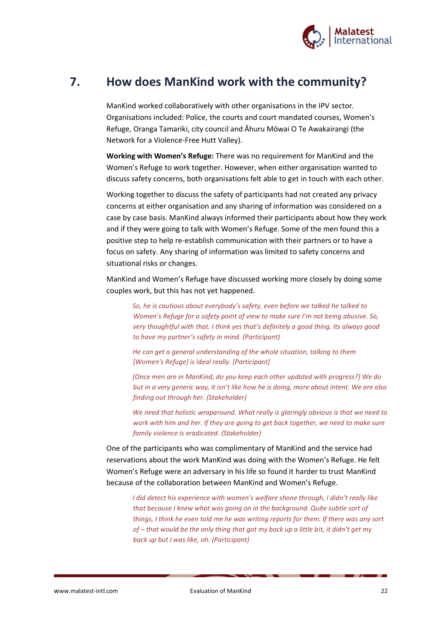

## **7. How does ManKind work with the community?**

ManKind worked collaboratively with other organisations in the IPV sector. Organisations included: Police, the courts and court mandated courses, Women's Refuge, Oranga Tamariki, city council and Āhuru Mōwai O Te Awakairangi (the Network for a Violence-Free Hutt Valley).

**Working with Women's Refuge:** There was no requirement for ManKind and the Women's Refuge to work together. However, when either organisation wanted to discuss safety concerns, both organisations felt able to get in touch with each other.

Working together to discuss the safety of participants had not created any privacy concerns at either organisation and any sharing of information was considered on a case by case basis. ManKind always informed their participants about how they work and if they were going to talk with Women's Refuge. Some of the men found this a positive step to help re-establish communication with their partners or to have a focus on safety. Any sharing of information was limited to safety concerns and situational risks or changes.

ManKind and Women's Refuge have discussed working more closely by doing some couples work, but this has not yet happened.

*So, he is cautious about everybody's safety, even before we talked he talked to Women's Refuge for a safety point of view to make sure I'm not being abusive. So, very thoughtful with that. I think yes that's definitely a good thing. Its always good to have my partner's safety in mind. (Participant)* 

*He can get a general understanding of the whole situation, talking to them [Women's Refuge] is ideal really. [Participant]*

*[Once men are in ManKind, do you keep each other updated with progress?] We do but in a very generic way, it isn't like how he is doing, more about intent. We are also finding out through her. (Stakeholder)*

*We need that holistic wraparound. What really is glaringly obvious is that we need to work with him and her. If they are going to get back together, we need to make sure family violence is eradicated. (Stakeholder)*

One of the participants who was complimentary of ManKind and the service had reservations about the work ManKind was doing with the Women's Refuge. He felt Women's Refuge were an adversary in his life so found it harder to trust ManKind because of the collaboration between ManKind and Women's Refuge.

*I did detect his experience with women's welfare shone through, I didn't really like that because I knew what was going on in the background. Quite subtle sort of things, I think he even told me he was writing reports for them. If there was any sort of – that would be the only thing that got my back up a little bit, it didn't get my back up but I was like, oh. (Participant)*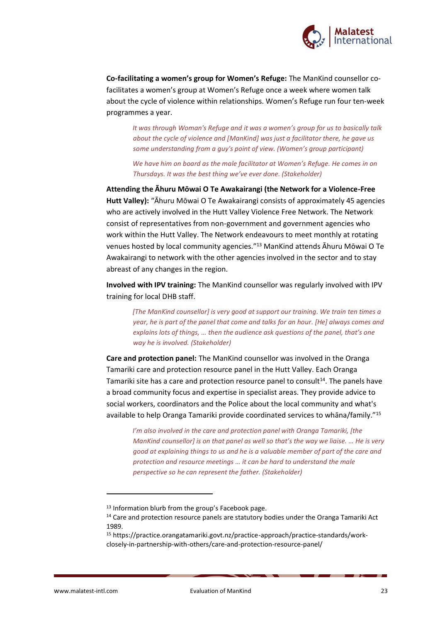

**Co-facilitating a women's group for Women's Refuge:** The ManKind counsellor cofacilitates a women's group at Women's Refuge once a week where women talk about the cycle of violence within relationships. Women's Refuge run four ten-week programmes a year.

*It was through Woman's Refuge and it was a women's group for us to basically talk about the cycle of violence and [ManKind] was just a facilitator there, he gave us some understanding from a guy's point of view. (Women's group participant)*

*We have him on board as the male facilitator at Women's Refuge. He comes in on Thursdays. It was the best thing we've ever done. (Stakeholder)*

**Attending the Āhuru Mōwai O Te Awakairangi (the Network for a Violence-Free Hutt Valley):** "Āhuru Mōwai O Te Awakairangi consists of approximately 45 agencies who are actively involved in the Hutt Valley Violence Free Network. The Network consist of representatives from non-government and government agencies who work within the Hutt Valley. The Network endeavours to meet monthly at rotating venues hosted by local community agencies."<sup>13</sup> ManKind attends Āhuru Mōwai O Te Awakairangi to network with the other agencies involved in the sector and to stay abreast of any changes in the region.

**Involved with IPV training:** The ManKind counsellor was regularly involved with IPV training for local DHB staff.

*[The ManKind counsellor] is very good at support our training. We train ten times a year, he is part of the panel that come and talks for an hour. [He] always comes and explains lots of things, … then the audience ask questions of the panel, that's one way he is involved. (Stakeholder)*

**Care and protection panel:** The ManKind counsellor was involved in the Oranga Tamariki care and protection resource panel in the Hutt Valley. Each Oranga Tamariki site has a care and protection resource panel to consult $14$ . The panels have a broad community focus and expertise in specialist areas. They provide advice to social workers, coordinators and the Police about the local community and what's available to help Oranga Tamariki provide coordinated services to whāna/family."<sup>15</sup>

*I'm also involved in the care and protection panel with Oranga Tamariki, [the ManKind counsellor] is on that panel as well so that's the way we liaise. … He is very good at explaining things to us and he is a valuable member of part of the care and protection and resource meetings … it can be hard to understand the male perspective so he can represent the father. (Stakeholder)*

<sup>&</sup>lt;sup>13</sup> Information blurb from the group's Facebook page.

<sup>&</sup>lt;sup>14</sup> Care and protection resource panels are statutory bodies under the Oranga Tamariki Act 1989.

<sup>15</sup> https://practice.orangatamariki.govt.nz/practice-approach/practice-standards/workclosely-in-partnership-with-others/care-and-protection-resource-panel/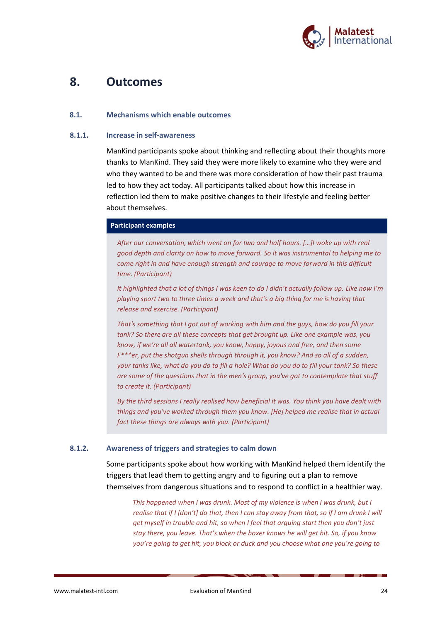

## **8. Outcomes**

#### **8.1. Mechanisms which enable outcomes**

#### **8.1.1. Increase in self-awareness**

ManKind participants spoke about thinking and reflecting about their thoughts more thanks to ManKind. They said they were more likely to examine who they were and who they wanted to be and there was more consideration of how their past trauma led to how they act today. All participants talked about how this increase in reflection led them to make positive changes to their lifestyle and feeling better about themselves.

#### **Participant examples**

*After our conversation, which went on for two and half hours. […]I woke up with real good depth and clarity on how to move forward. So it was instrumental to helping me to come right in and have enough strength and courage to move forward in this difficult time. (Participant)*

*It highlighted that a lot of things I was keen to do I didn't actually follow up. Like now I'm playing sport two to three times a week and that's a big thing for me is having that release and exercise. (Participant)*

*That's something that I got out of working with him and the guys, how do you fill your tank? So there are all these concepts that get brought up. Like one example was, you know, if we're all all watertank, you know, happy, joyous and free, and then some F\*\*\*er, put the shotgun shells through through it, you know? And so all of a sudden, your tanks like, what do you do to fill a hole? What do you do to fill your tank? So these are some of the questions that in the men's group, you've got to contemplate that stuff to create it. (Participant)*

*By the third sessions I really realised how beneficial it was. You think you have dealt with things and you've worked through them you know. [He] helped me realise that in actual fact these things are always with you. (Participant)*

#### **8.1.2. Awareness of triggers and strategies to calm down**

Some participants spoke about how working with ManKind helped them identify the triggers that lead them to getting angry and to figuring out a plan to remove themselves from dangerous situations and to respond to conflict in a healthier way.

*This happened when I was drunk. Most of my violence is when I was drunk, but I realise that if I [don't] do that, then I can stay away from that, so if I am drunk I will get myself in trouble and hit, so when I feel that arguing start then you don't just stay there, you leave. That's when the boxer knows he will get hit. So, if you know you're going to get hit, you block or duck and you choose what one you're going to*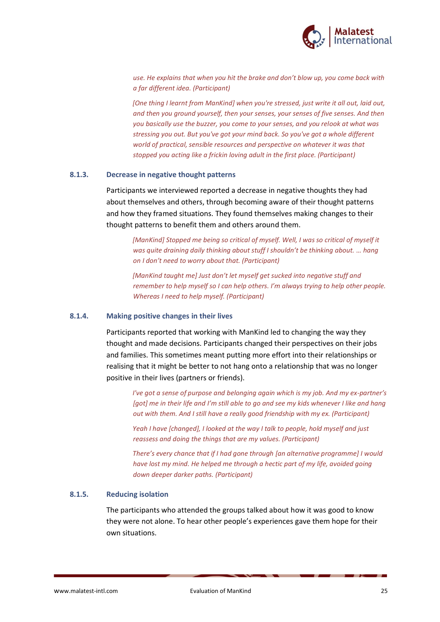

*use. He explains that when you hit the brake and don't blow up, you come back with a far different idea. (Participant)*

*[One thing I learnt from ManKind] when you're stressed, just write it all out, laid out, and then you ground yourself, then your senses, your senses of five senses. And then you basically use the buzzer, you come to your senses, and you relook at what was stressing you out. But you've got your mind back. So you've got a whole different world of practical, sensible resources and perspective on whatever it was that stopped you acting like a frickin loving adult in the first place. (Participant)*

#### **8.1.3. Decrease in negative thought patterns**

Participants we interviewed reported a decrease in negative thoughts they had about themselves and others, through becoming aware of their thought patterns and how they framed situations. They found themselves making changes to their thought patterns to benefit them and others around them.

*[ManKind] Stopped me being so critical of myself. Well, I was so critical of myself it was quite draining daily thinking about stuff I shouldn't be thinking about. … hang on I don't need to worry about that. (Participant)*

*[ManKind taught me] Just don't let myself get sucked into negative stuff and remember to help myself so I can help others. I'm always trying to help other people. Whereas I need to help myself. (Participant)*

#### **8.1.4. Making positive changes in their lives**

Participants reported that working with ManKind led to changing the way they thought and made decisions. Participants changed their perspectives on their jobs and families. This sometimes meant putting more effort into their relationships or realising that it might be better to not hang onto a relationship that was no longer positive in their lives (partners or friends).

*I've got a sense of purpose and belonging again which is my job. And my ex-partner's [got] me in their life and I'm still able to go and see my kids whenever I like and hang out with them. And I still have a really good friendship with my ex. (Participant)*

*Yeah I have [changed], I looked at the way I talk to people, hold myself and just reassess and doing the things that are my values. (Participant)*

*There's every chance that if I had gone through [an alternative programme] I would have lost my mind. He helped me through a hectic part of my life, avoided going down deeper darker paths. (Participant)*

#### **8.1.5. Reducing isolation**

The participants who attended the groups talked about how it was good to know they were not alone. To hear other people's experiences gave them hope for their own situations.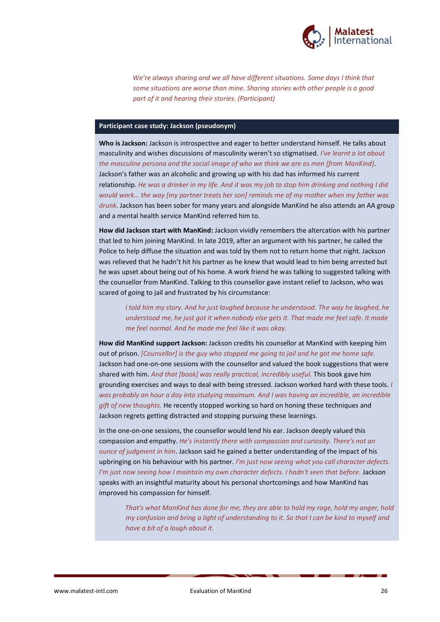

*We're always sharing and we all have different situations. Some days I think that some situations are worse than mine. Sharing stories with other people is a good part of it and hearing their stories. (Participant)*

#### **Participant case study: Jackson (pseudonym)**

**Who is Jackson:** Jackson is introspective and eager to better understand himself. He talks about masculinity and wishes discussions of masculinity weren't so stigmatised. *I've learnt a lot about the masculine persona and the social image of who we think we are as men [from ManKind]*. Jackson's father was an alcoholic and growing up with his dad has informed his current relationship. *He was a drinker in my life. And it was my job to stop him drinking and nothing I did would work… the way [my partner treats her son] reminds me of my mother when my father was drunk*. Jackson has been sober for many years and alongside ManKind he also attends an AA group and a mental health service ManKind referred him to.

**How did Jackson start with ManKind:** Jackson vividly remembers the altercation with his partner that led to him joining ManKind. In late 2019, after an argument with his partner, he called the Police to help diffuse the situation and was told by them not to return home that night. Jackson was relieved that he hadn't hit his partner as he knew that would lead to him being arrested but he was upset about being out of his home. A work friend he was talking to suggested talking with the counsellor from ManKind. Talking to this counsellor gave instant relief to Jackson, who was scared of going to jail and frustrated by his circumstance:

*I told him my story. And he just laughed because he understood. The way he laughed, he understood me, he just got it when nobody else gets it. That made me feel safe. It made me feel normal. And he made me feel like it was okay.*

**How did ManKind support Jackson:** Jackson credits his counsellor at ManKind with keeping him out of prison. *[Counsellor] is the guy who stopped me going to jail and he got me home safe.* Jackson had one-on-one sessions with the counsellor and valued the book suggestions that were shared with him. *And that [book] was really practical, incredibly useful.* This book gave him grounding exercises and ways to deal with being stressed. Jackson worked hard with these tools. *I was probably an hour a day into studying maximum. And I was having an incredible, an incredible gift of new thoughts.* He recently stopped working so hard on honing these techniques and Jackson regrets getting distracted and stopping pursuing these learnings.

In the one-on-one sessions, the counsellor would lend his ear. Jackson deeply valued this compassion and empathy. *He's instantly there with compassion and curiosity. There's not an ounce of judgment in him*. Jackson said he gained a better understanding of the impact of his upbringing on his behaviour with his partner. *I'm just now seeing what you call character defects. I'm just now seeing how I maintain my own character defects. I hadn't seen that before.* Jackson speaks with an insightful maturity about his personal shortcomings and how ManKind has improved his compassion for himself.

*That's what ManKind has done for me, they are able to hold my rage, hold my anger, hold my confusion and bring a light of understanding to it. So that I can be kind to myself and have a bit of a laugh about it.*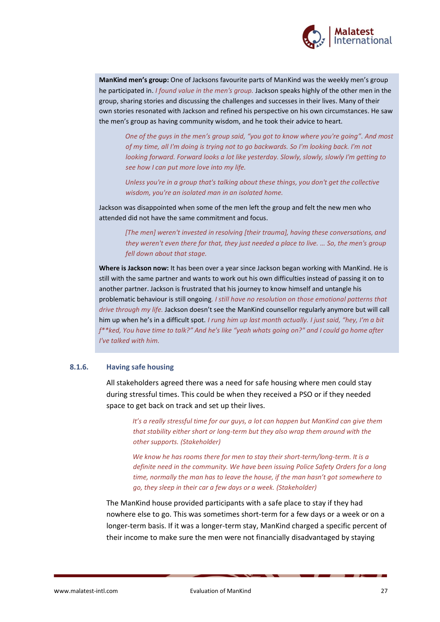

**ManKind men's group:** One of Jacksons favourite parts of ManKind was the weekly men's group he participated in. *I found value in the men's group.* Jackson speaks highly of the other men in the group, sharing stories and discussing the challenges and successes in their lives. Many of their own stories resonated with Jackson and refined his perspective on his own circumstances. He saw the men's group as having community wisdom, and he took their advice to heart.

*One of the guys in the men's group said, "you got to know where you're going". And most of my time, all I'm doing is trying not to go backwards. So I'm looking back. I'm not looking forward. Forward looks a lot like yesterday. Slowly, slowly, slowly I'm getting to see how I can put more love into my life.*

*Unless you're in a group that's talking about these things, you don't get the collective wisdom, you're an isolated man in an isolated home.*

Jackson was disappointed when some of the men left the group and felt the new men who attended did not have the same commitment and focus.

*[The men] weren't invested in resolving [their trauma], having these conversations, and they weren't even there for that, they just needed a place to live. … So, the men's group fell down about that stage.*

**Where is Jackson now:** It has been over a year since Jackson began working with ManKind. He is still with the same partner and wants to work out his own difficulties instead of passing it on to another partner. Jackson is frustrated that his journey to know himself and untangle his problematic behaviour is still ongoing*. I still have no resolution on those emotional patterns that drive through my life.* Jackson doesn't see the ManKind counsellor regularly anymore but will call him up when he's in a difficult spot. *I rung him up last month actually. I just said, "hey, I'm a bit f\*\*ked, You have time to talk?" And he's like "yeah whats going on?" and I could go home after I've talked with him.* 

#### **8.1.6. Having safe housing**

All stakeholders agreed there was a need for safe housing where men could stay during stressful times. This could be when they received a PSO or if they needed space to get back on track and set up their lives.

*It's a really stressful time for our guys, a lot can happen but ManKind can give them that stability either short or long-term but they also wrap them around with the other supports. (Stakeholder)*

*We know he has rooms there for men to stay their short-term/long-term. It is a definite need in the community. We have been issuing Police Safety Orders for a long time, normally the man has to leave the house, if the man hasn't got somewhere to go, they sleep in their car a few days or a week. (Stakeholder)*

The ManKind house provided participants with a safe place to stay if they had nowhere else to go. This was sometimes short-term for a few days or a week or on a longer-term basis. If it was a longer-term stay, ManKind charged a specific percent of their income to make sure the men were not financially disadvantaged by staying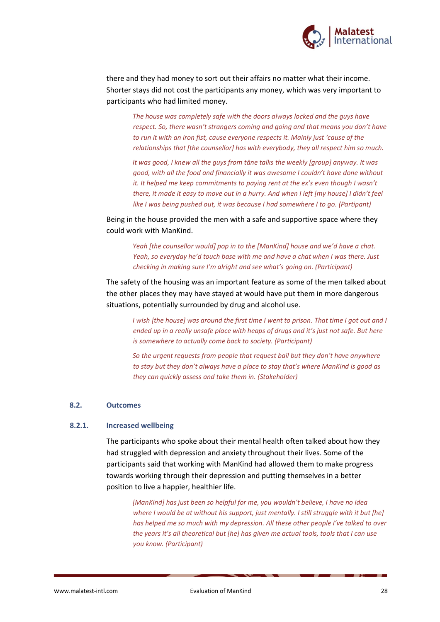

there and they had money to sort out their affairs no matter what their income. Shorter stays did not cost the participants any money, which was very important to participants who had limited money.

*The house was completely safe with the doors always locked and the guys have respect. So, there wasn't strangers coming and going and that means you don't have to run it with an iron fist, cause everyone respects it. Mainly just 'cause of the relationships that [the counsellor] has with everybody, they all respect him so much.* 

*It was good, I knew all the guys from tāne talks the weekly [group] anyway. It was good, with all the food and financially it was awesome I couldn't have done without it. It helped me keep commitments to paying rent at the ex's even though I wasn't there, it made it easy to move out in a hurry. And when I left [my house] I didn't feel like I was being pushed out, it was because I had somewhere I to go. (Partipant)*

Being in the house provided the men with a safe and supportive space where they could work with ManKind.

*Yeah [the counsellor would] pop in to the [ManKind] house and we'd have a chat. Yeah, so everyday he'd touch base with me and have a chat when I was there. Just checking in making sure I'm alright and see what's going on. (Participant)*

The safety of the housing was an important feature as some of the men talked about the other places they may have stayed at would have put them in more dangerous situations, potentially surrounded by drug and alcohol use.

*I wish [the house] was around the first time I went to prison. That time I got out and I ended up in a really unsafe place with heaps of drugs and it's just not safe. But here is somewhere to actually come back to society. (Participant)*

*So the urgent requests from people that request bail but they don't have anywhere to stay but they don't always have a place to stay that's where ManKind is good as they can quickly assess and take them in. (Stakeholder)*

#### **8.2. Outcomes**

#### **8.2.1. Increased wellbeing**

The participants who spoke about their mental health often talked about how they had struggled with depression and anxiety throughout their lives. Some of the participants said that working with ManKind had allowed them to make progress towards working through their depression and putting themselves in a better position to live a happier, healthier life.

*[ManKind] has just been so helpful for me, you wouldn't believe, I have no idea where I would be at without his support, just mentally. I still struggle with it but [he] has helped me so much with my depression. All these other people I've talked to over the years it's all theoretical but [he] has given me actual tools, tools that I can use you know. (Participant)*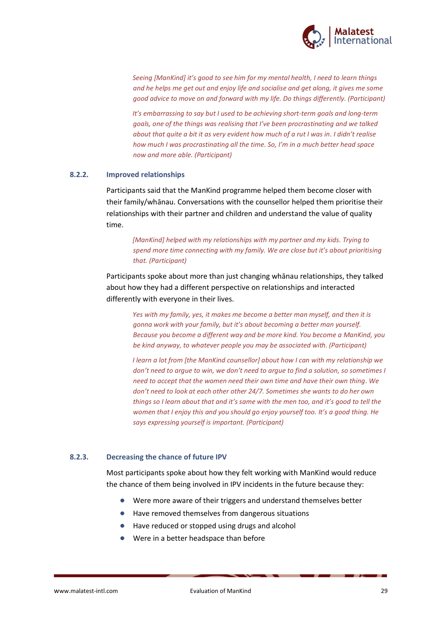

*Seeing [ManKind] it's good to see him for my mental health, I need to learn things and he helps me get out and enjoy life and socialise and get along, it gives me some good advice to move on and forward with my life. Do things differently. (Participant)*

*It*<sup>'</sup>*s* embarrassing to say but I used to be achieving short-term goals and long-term *goals, one of the things was realising that I've been procrastinating and we talked about that quite a bit it as very evident how much of a rut I was in. I didn't realise how much I was procrastinating all the time. So, I'm in a much better head space now and more able. (Participant)*

#### **8.2.2. Improved relationships**

Participants said that the ManKind programme helped them become closer with their family/whānau. Conversations with the counsellor helped them prioritise their relationships with their partner and children and understand the value of quality time.

#### *[ManKind] helped with my relationships with my partner and my kids. Trying to spend more time connecting with my family. We are close but it's about prioritising that. (Participant)*

Participants spoke about more than just changing whānau relationships, they talked about how they had a different perspective on relationships and interacted differently with everyone in their lives.

*Yes with my family, yes, it makes me become a better man myself, and then it is gonna work with your family, but it's about becoming a better man yourself. Because you become a different way and be more kind. You become a ManKind, you be kind anyway, to whatever people you may be associated with. (Participant)*

*I learn a lot from [the ManKind counsellor] about how I can with my relationship we don't need to argue to win, we don't need to argue to find a solution, so sometimes I need to accept that the women need their own time and have their own thing. We don't need to look at each other other 24/7. Sometimes she wants to do her own things so I learn about that and it's same with the men too, and it's good to tell the women that I enjoy this and you should go enjoy yourself too. It's a good thing. He says expressing yourself is important. (Participant)*

#### **8.2.3. Decreasing the chance of future IPV**

Most participants spoke about how they felt working with ManKind would reduce the chance of them being involved in IPV incidents in the future because they:

- Were more aware of their triggers and understand themselves better
- Have removed themselves from dangerous situations
- Have reduced or stopped using drugs and alcohol
- Were in a better headspace than before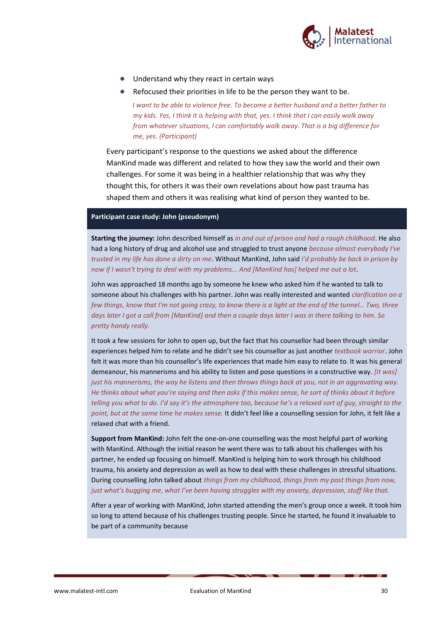

- Understand why they react in certain ways
- Refocused their priorities in life to be the person they want to be.

*I want to be able to violence free. To become a better husband and a better father to my kids. Yes, I think it is helping with that, yes. I think that I can easily walk away from whatever situations, I can comfortably walk away. That is a big difference for me, yes. (Participant)*

Every participant's response to the questions we asked about the difference ManKind made was different and related to how they saw the world and their own challenges. For some it was being in a healthier relationship that was why they thought this, for others it was their own revelations about how past trauma has shaped them and others it was realising what kind of person they wanted to be.

#### **Participant case study: John (pseudonym)**

**Starting the journey:** John described himself as *in and out of prison and had a rough childhood*. He also had a long history of drug and alcohol use and struggled to trust anyone *because almost everybody I've trusted in my life has done a dirty on me*. Without ManKind, John said *I'd probably be back in prison by now if I wasn't trying to deal with my problems... And [ManKind has] helped me out a lot*.

John was approached 18 months ago by someone he knew who asked him if he wanted to talk to someone about his challenges with his partner. John was really interested and wanted *clarification on a few things, know that I'm not going crazy, to know there is a light at the end of the tunnel… Two, three days later I got a call from [ManKind] and then a couple days later I was in there talking to him. So pretty handy really.*

It took a few sessions for John to open up, but the fact that his counsellor had been through similar experiences helped him to relate and he didn't see his counsellor as just another *textbook warrior*. John felt it was more than his counsellor's life experiences that made him easy to relate to. It was his general demeanour, his mannerisms and his ability to listen and pose questions in a constructive way. *[It was] just his mannerisms, the way he listens and then throws things back at you, not in an aggravating way. He thinks about what you're saying and then asks if this makes sense, he sort of thinks about it before telling you what to do. I'd say it's the atmosphere too, because he's a relaxed sort of guy, straight to the point, but at the same time he makes sense.* It didn't feel like a counselling session for John, it felt like a relaxed chat with a friend.

**Support from ManKind:** John felt the one-on-one counselling was the most helpful part of working with ManKind. Although the initial reason he went there was to talk about his challenges with his partner, he ended up focusing on himself. ManKind is helping him to work through his childhood trauma, his anxiety and depression as well as how to deal with these challenges in stressful situations. During counselling John talked about *things from my childhood, things from my past things from now, just what's bugging me, what I've been having struggles with my anxiety, depression, stuff like that.*

After a year of working with ManKind, John started attending the men's group once a week. It took him so long to attend because of his challenges trusting people. Since he started, he found it invaluable to be part of a community because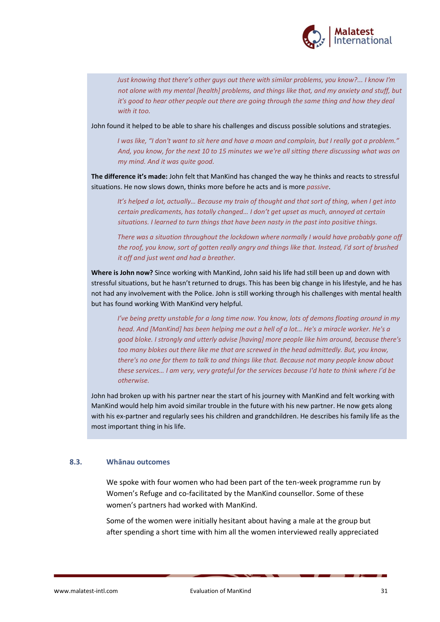

*Just knowing that there's other guys out there with similar problems, you know?... I know I'm not alone with my mental [health] problems, and things like that, and my anxiety and stuff, but it's good to hear other people out there are going through the same thing and how they deal with it too.* 

John found it helped to be able to share his challenges and discuss possible solutions and strategies.

*I was like, "I don't want to sit here and have a moan and complain, but I really got a problem." And, you know, for the next 10 to 15 minutes we we're all sitting there discussing what was on my mind. And it was quite good.* 

**The difference it's made:** John felt that ManKind has changed the way he thinks and reacts to stressful situations. He now slows down, thinks more before he acts and is more *passive*.

*It's helped a lot, actually... Because my train of thought and that sort of thing, when I get into certain predicaments, has totally changed… I don't get upset as much, annoyed at certain situations. I learned to turn things that have been nasty in the past into positive things.*

*There was a situation throughout the lockdown where normally I would have probably gone off the roof, you know, sort of gotten really angry and things like that. Instead, I'd sort of brushed it off and just went and had a breather.*

**Where is John now?** Since working with ManKind, John said his life had still been up and down with stressful situations, but he hasn't returned to drugs. This has been big change in his lifestyle, and he has not had any involvement with the Police. John is still working through his challenges with mental health but has found working With ManKind very helpful.

*I've being pretty unstable for a long time now. You know, lots of demons floating around in my head. And [ManKind] has been helping me out a hell of a lot… He's a miracle worker. He's a good bloke. I strongly and utterly advise [having] more people like him around, because there's too many blokes out there like me that are screwed in the head admittedly. But, you know, there's no one for them to talk to and things like that. Because not many people know about these services… I am very, very grateful for the services because I'd hate to think where I'd be otherwise.* 

John had broken up with his partner near the start of his journey with ManKind and felt working with ManKind would help him avoid similar trouble in the future with his new partner. He now gets along with his ex-partner and regularly sees his children and grandchildren. He describes his family life as the most important thing in his life.

#### **8.3. Whānau outcomes**

We spoke with four women who had been part of the ten-week programme run by Women's Refuge and co-facilitated by the ManKind counsellor. Some of these women's partners had worked with ManKind.

Some of the women were initially hesitant about having a male at the group but after spending a short time with him all the women interviewed really appreciated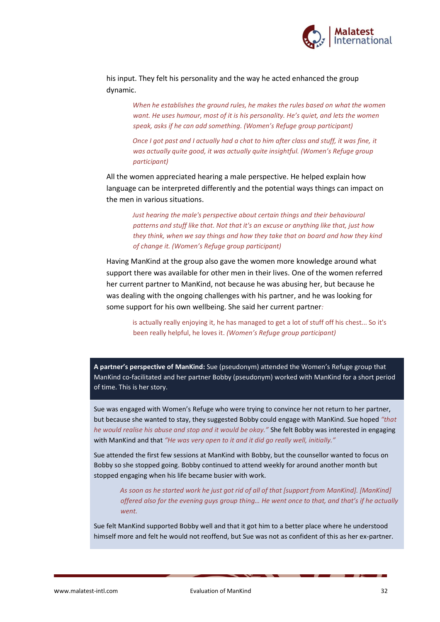

his input. They felt his personality and the way he acted enhanced the group dynamic.

> *When he establishes the ground rules, he makes the rules based on what the women want. He uses humour, most of it is his personality. He's quiet, and lets the women speak, asks if he can add something. (Women's Refuge group participant)*

*Once I got past and I actually had a chat to him after class and stuff, it was fine, it was actually quite good, it was actually quite insightful. (Women's Refuge group participant)*

All the women appreciated hearing a male perspective. He helped explain how language can be interpreted differently and the potential ways things can impact on the men in various situations.

*Just hearing the male's perspective about certain things and their behavioural patterns and stuff like that. Not that it's an excuse or anything like that, just how they think, when we say things and how they take that on board and how they kind of change it. (Women's Refuge group participant)*

Having ManKind at the group also gave the women more knowledge around what support there was available for other men in their lives. One of the women referred her current partner to ManKind, not because he was abusing her, but because he was dealing with the ongoing challenges with his partner, and he was looking for some support for his own wellbeing. She said her current partner*:*

is actually really enjoying it, he has managed to get a lot of stuff off his chest... So it's been really helpful, he loves it. *(Women's Refuge group participant)*

**A partner's perspective of ManKind:** Sue (pseudonym) attended the Women's Refuge group that ManKind co-facilitated and her partner Bobby (pseudonym) worked with ManKind for a short period of time. This is her story.

Sue was engaged with Women's Refuge who were trying to convince her not return to her partner, but because she wanted to stay, they suggested Bobby could engage with ManKind. Sue hoped *"that he would realise his abuse and stop and it would be okay."* She felt Bobby was interested in engaging with ManKind and that *"He was very open to it and it did go really well, initially."*

Sue attended the first few sessions at ManKind with Bobby, but the counsellor wanted to focus on Bobby so she stopped going. Bobby continued to attend weekly for around another month but stopped engaging when his life became busier with work.

*As soon as he started work he just got rid of all of that [support from ManKind]. [ManKind] offered also for the evening guys group thing… He went once to that, and that's if he actually went.*

Sue felt ManKind supported Bobby well and that it got him to a better place where he understood himself more and felt he would not reoffend, but Sue was not as confident of this as her ex-partner.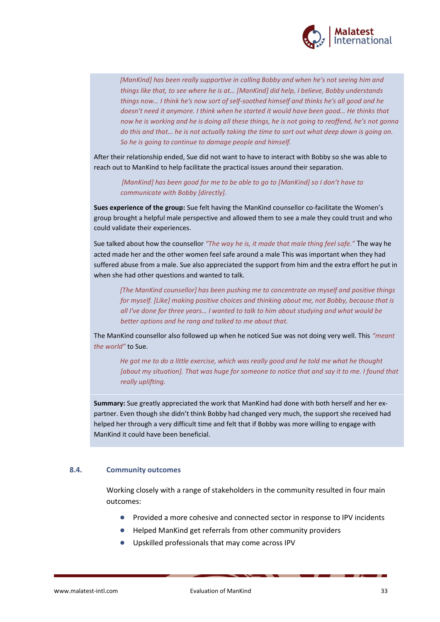

*[ManKind] has been really supportive in calling Bobby and when he's not seeing him and things like that, to see where he is at… [ManKind] did help, I believe, Bobby understands things now… I think he's now sort of self-soothed himself and thinks he's all good and he doesn't need it anymore. I think when he started it would have been good… He thinks that now he is working and he is doing all these things, he is not going to reoffend, he's not gonna do this and that… he is not actually taking the time to sort out what deep down is going on. So he is going to continue to damage people and himself.*

After their relationship ended, Sue did not want to have to interact with Bobby so she was able to reach out to ManKind to help facilitate the practical issues around their separation.

*[ManKind] has been good for me to be able to go to [ManKind] so I don't have to communicate with Bobby [directly].*

**Sues experience of the group:** Sue felt having the ManKind counsellor co-facilitate the Women's group brought a helpful male perspective and allowed them to see a male they could trust and who could validate their experiences.

Sue talked about how the counsellor *"The way he is, it made that male thing feel safe."* The way he acted made her and the other women feel safe around a male This was important when they had suffered abuse from a male. Sue also appreciated the support from him and the extra effort he put in when she had other questions and wanted to talk.

*[The ManKind counsellor] has been pushing me to concentrate on myself and positive things for myself. [Like] making positive choices and thinking about me, not Bobby, because that is all I've done for three years… I wanted to talk to him about studying and what would be better options and he rang and talked to me about that.* 

The ManKind counsellor also followed up when he noticed Sue was not doing very well. This *"meant the world"* to Sue.

*He got me to do a little exercise, which was really good and he told me what he thought [about my situation]. That was huge for someone to notice that and say it to me. I found that really uplifting.*

**Summary:** Sue greatly appreciated the work that ManKind had done with both herself and her expartner. Even though she didn't think Bobby had changed very much, the support she received had helped her through a very difficult time and felt that if Bobby was more willing to engage with ManKind it could have been beneficial.

#### **8.4. Community outcomes**

Working closely with a range of stakeholders in the community resulted in four main outcomes:

- Provided a more cohesive and connected sector in response to IPV incidents
- Helped ManKind get referrals from other community providers
- Upskilled professionals that may come across IPV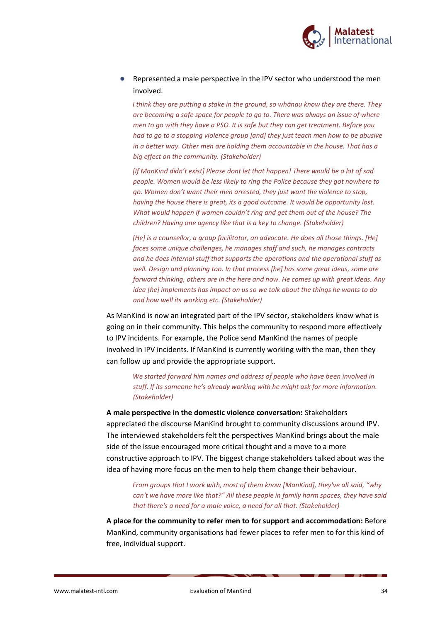

Represented a male perspective in the IPV sector who understood the men involved.

*I think they are putting a stake in the ground, so whānau know they are there. They are becoming a safe space for people to go to. There was always an issue of where men to go with they have a PSO. It is safe but they can get treatment. Before you had to go to a stopping violence group [and] they just teach men how to be abusive in a better way. Other men are holding them accountable in the house. That has a big effect on the community. (Stakeholder)*

*[If ManKind didn't exist] Please dont let that happen! There would be a lot of sad people. Women would be less likely to ring the Police because they got nowhere to go. Women don't want their men arrested, they just want the violence to stop, having the house there is great, its a good outcome. It would be opportunity lost. What would happen if women couldn't ring and get them out of the house? The children? Having one agency like that is a key to change. (Stakeholder)*

*[He] is a counsellor, a group facilitator, an advocate. He does all those things. [He] faces some unique challenges, he manages staff and such, he manages contracts and he does internal stuff that supports the operations and the operational stuff as well. Design and planning too. In that process [he] has some great ideas, some are forward thinking, others are in the here and now. He comes up with great ideas. Any idea [he] implements has impact on us so we talk about the things he wants to do and how well its working etc. (Stakeholder)*

As ManKind is now an integrated part of the IPV sector, stakeholders know what is going on in their community. This helps the community to respond more effectively to IPV incidents. For example, the Police send ManKind the names of people involved in IPV incidents. If ManKind is currently working with the man, then they can follow up and provide the appropriate support.

*We started forward him names and address of people who have been involved in stuff. If its someone he's already working with he might ask for more information. (Stakeholder)*

**A male perspective in the domestic violence conversation:** Stakeholders appreciated the discourse ManKind brought to community discussions around IPV. The interviewed stakeholders felt the perspectives ManKind brings about the male side of the issue encouraged more critical thought and a move to a more constructive approach to IPV. The biggest change stakeholders talked about was the idea of having more focus on the men to help them change their behaviour.

*From groups that I work with, most of them know [ManKind], they've all said, "why can't we have more like that?" All these people in family harm spaces, they have said that there's a need for a male voice, a need for all that. (Stakeholder)*

**A place for the community to refer men to for support and accommodation:** Before ManKind, community organisations had fewer places to refer men to for this kind of free, individual support.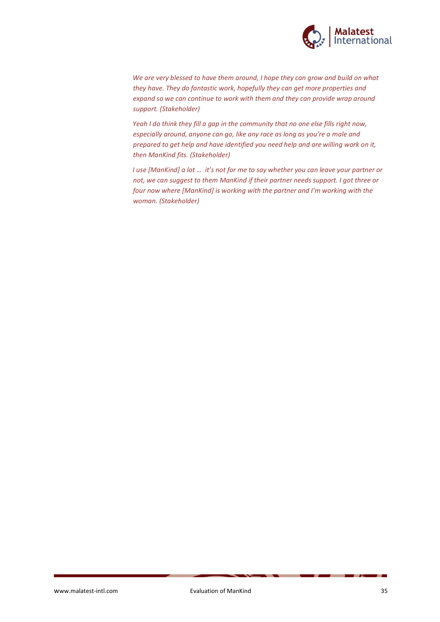

*We are very blessed to have them around, I hope they can grow and build on what they have. They do fantastic work, hopefully they can get more properties and expand so we can continue to work with them and they can provide wrap around support. (Stakeholder)*

*Yeah I do think they fill a gap in the community that no one else fills right now, especially around, anyone can go, like any race as long as you're a male and prepared to get help and have identified you need help and are willing work on it, then ManKind fits. (Stakeholder)*

*I use [ManKind] a lot … it's not for me to say whether you can leave your partner or not, we can suggest to them ManKind if their partner needs support. I got three or four now where [ManKind] is working with the partner and I'm working with the woman. (Stakeholder)*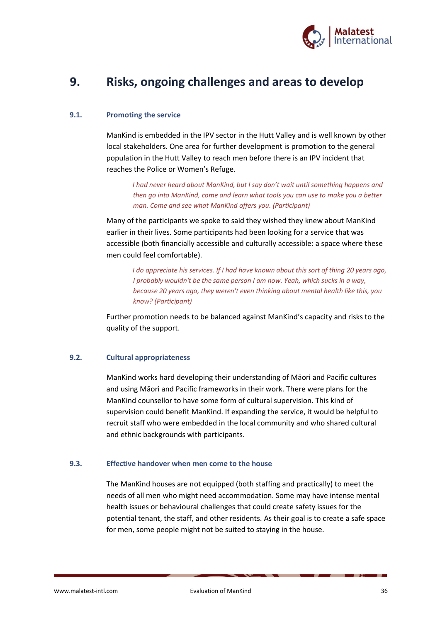

# **9. Risks, ongoing challenges and areas to develop**

#### **9.1. Promoting the service**

ManKind is embedded in the IPV sector in the Hutt Valley and is well known by other local stakeholders. One area for further development is promotion to the general population in the Hutt Valley to reach men before there is an IPV incident that reaches the Police or Women's Refuge.

*I had never heard about ManKind, but I say don't wait until something happens and then go into ManKind, come and learn what tools you can use to make you a better man. Come and see what ManKind offers you. (Participant)*

Many of the participants we spoke to said they wished they knew about ManKind earlier in their lives. Some participants had been looking for a service that was accessible (both financially accessible and culturally accessible: a space where these men could feel comfortable).

*I do appreciate his services. If I had have known about this sort of thing 20 years ago, I probably wouldn't be the same person I am now. Yeah, which sucks in a way, because 20 years ago, they weren't even thinking about mental health like this, you know? (Participant)*

Further promotion needs to be balanced against ManKind's capacity and risks to the quality of the support.

#### **9.2. Cultural appropriateness**

ManKind works hard developing their understanding of Māori and Pacific cultures and using Māori and Pacific frameworks in their work. There were plans for the ManKind counsellor to have some form of cultural supervision. This kind of supervision could benefit ManKind. If expanding the service, it would be helpful to recruit staff who were embedded in the local community and who shared cultural and ethnic backgrounds with participants.

#### **9.3. Effective handover when men come to the house**

The ManKind houses are not equipped (both staffing and practically) to meet the needs of all men who might need accommodation. Some may have intense mental health issues or behavioural challenges that could create safety issues for the potential tenant, the staff, and other residents. As their goal is to create a safe space for men, some people might not be suited to staying in the house.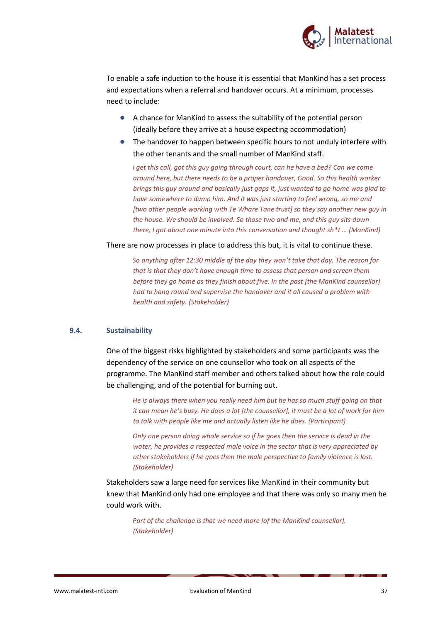

To enable a safe induction to the house it is essential that ManKind has a set process and expectations when a referral and handover occurs. At a minimum, processes need to include:

- A chance for ManKind to assess the suitability of the potential person (ideally before they arrive at a house expecting accommodation)
- The handover to happen between specific hours to not unduly interfere with the other tenants and the small number of ManKind staff.

*I get this call, got this guy going through court, can he have a bed? Can we come around here, but there needs to be a proper handover, Good. So this health worker brings this guy around and basically just gaps it, just wanted to go home was glad to have somewhere to dump him. And it was just starting to feel wrong, so me and [two other people working with Te Whare Tane trust] so they say another new guy in the house. We should be involved. So those two and me, and this guy sits down there, I got about one minute into this conversation and thought sh\*t … (ManKind)*

There are now processes in place to address this but, it is vital to continue these.

*So anything after 12:30 middle of the day they won't take that day. The reason for that is that they don't have enough time to assess that person and screen them before they go home as they finish about five. In the past [the ManKind counsellor] had to hang round and supervise the handover and it all caused a problem with health and safety. (Stakeholder)*

#### **9.4. Sustainability**

One of the biggest risks highlighted by stakeholders and some participants was the dependency of the service on one counsellor who took on all aspects of the programme. The ManKind staff member and others talked about how the role could be challenging, and of the potential for burning out.

*He is always there when you really need him but he has so much stuff going on that it can mean he's busy. He does a lot [the counsellor], it must be a lot of work for him to talk with people like me and actually listen like he does. (Participant)*

*Only one person doing whole service so if he goes then the service is dead in the water, he provides a respected male voice in the sector that is very appreciated by other stakeholders if he goes then the male perspective to family violence is lost. (Stakeholder)*

Stakeholders saw a large need for services like ManKind in their community but knew that ManKind only had one employee and that there was only so many men he could work with.

*Part of the challenge is that we need more [of the ManKind counsellor]. (Stakeholder)*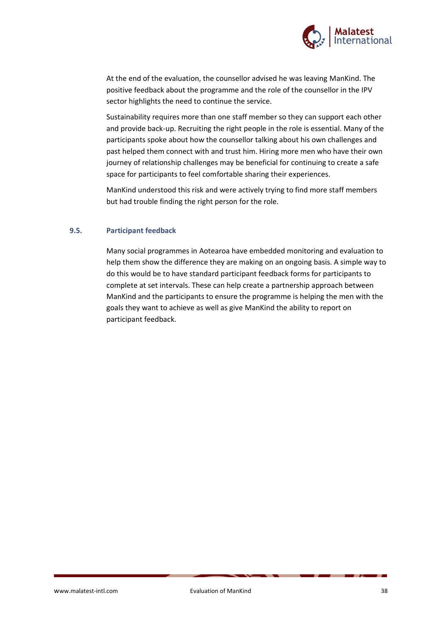

At the end of the evaluation, the counsellor advised he was leaving ManKind. The positive feedback about the programme and the role of the counsellor in the IPV sector highlights the need to continue the service.

Sustainability requires more than one staff member so they can support each other and provide back-up. Recruiting the right people in the role is essential. Many of the participants spoke about how the counsellor talking about his own challenges and past helped them connect with and trust him. Hiring more men who have their own journey of relationship challenges may be beneficial for continuing to create a safe space for participants to feel comfortable sharing their experiences.

ManKind understood this risk and were actively trying to find more staff members but had trouble finding the right person for the role.

#### **9.5. Participant feedback**

Many social programmes in Aotearoa have embedded monitoring and evaluation to help them show the difference they are making on an ongoing basis. A simple way to do this would be to have standard participant feedback forms for participants to complete at set intervals. These can help create a partnership approach between ManKind and the participants to ensure the programme is helping the men with the goals they want to achieve as well as give ManKind the ability to report on participant feedback.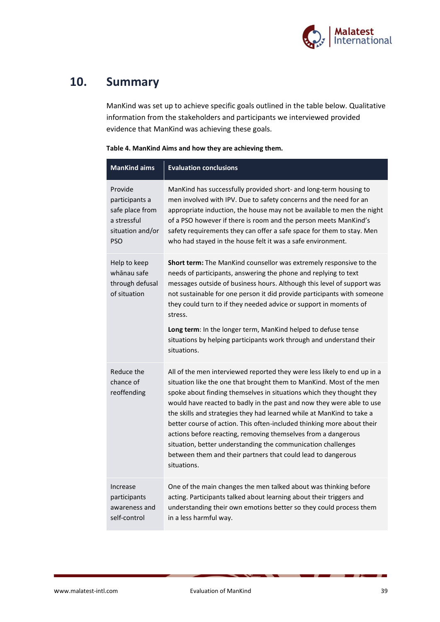

# **10. Summary**

ManKind was set up to achieve specific goals outlined in the table below. Qualitative information from the stakeholders and participants we interviewed provided evidence that ManKind was achieving these goals.

|  |  | Table 4. ManKind Aims and how they are achieving them. |
|--|--|--------------------------------------------------------|
|--|--|--------------------------------------------------------|

| <b>ManKind aims</b>                                                                           | <b>Evaluation conclusions</b>                                                                                                                                                                                                                                                                                                                                                                                                                                                                                                                                                                                                                                        |
|-----------------------------------------------------------------------------------------------|----------------------------------------------------------------------------------------------------------------------------------------------------------------------------------------------------------------------------------------------------------------------------------------------------------------------------------------------------------------------------------------------------------------------------------------------------------------------------------------------------------------------------------------------------------------------------------------------------------------------------------------------------------------------|
| Provide<br>participants a<br>safe place from<br>a stressful<br>situation and/or<br><b>PSO</b> | ManKind has successfully provided short- and long-term housing to<br>men involved with IPV. Due to safety concerns and the need for an<br>appropriate induction, the house may not be available to men the night<br>of a PSO however if there is room and the person meets ManKind's<br>safety requirements they can offer a safe space for them to stay. Men<br>who had stayed in the house felt it was a safe environment.                                                                                                                                                                                                                                         |
| Help to keep<br>whānau safe<br>through defusal<br>of situation                                | Short term: The ManKind counsellor was extremely responsive to the<br>needs of participants, answering the phone and replying to text<br>messages outside of business hours. Although this level of support was<br>not sustainable for one person it did provide participants with someone<br>they could turn to if they needed advice or support in moments of<br>stress.<br>Long term: In the longer term, ManKind helped to defuse tense<br>situations by helping participants work through and understand their<br>situations.                                                                                                                                   |
| Reduce the<br>chance of<br>reoffending                                                        | All of the men interviewed reported they were less likely to end up in a<br>situation like the one that brought them to ManKind. Most of the men<br>spoke about finding themselves in situations which they thought they<br>would have reacted to badly in the past and now they were able to use<br>the skills and strategies they had learned while at ManKind to take a<br>better course of action. This often-included thinking more about their<br>actions before reacting, removing themselves from a dangerous<br>situation, better understanding the communication challenges<br>between them and their partners that could lead to dangerous<br>situations. |
| Increase<br>participants<br>awareness and<br>self-control                                     | One of the main changes the men talked about was thinking before<br>acting. Participants talked about learning about their triggers and<br>understanding their own emotions better so they could process them<br>in a less harmful way.                                                                                                                                                                                                                                                                                                                                                                                                                              |